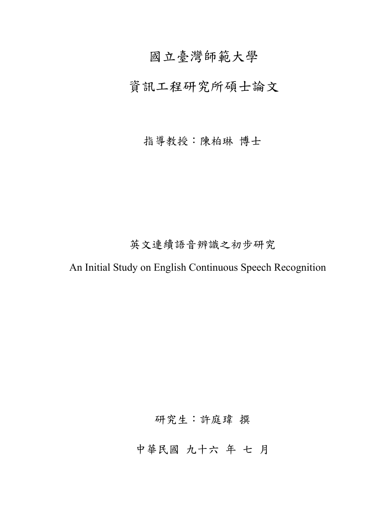# 國立臺灣師範大學

# 資訊工程研究所碩士論文

## 指導教授:陳柏琳 博士

# 英文連續語音辨識之初步研究

An Initial Study on English Continuous Speech Recognition

研究生:許庭瑋 撰

中華民國 九十六 年 七 月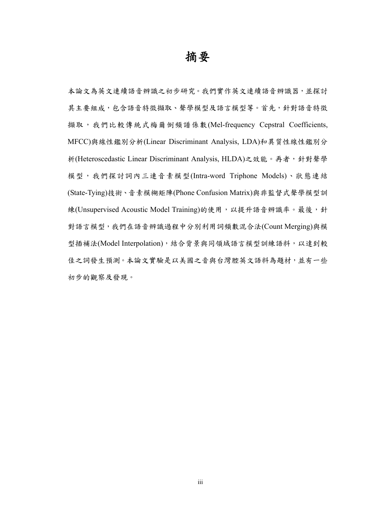摘要

本論文為英文連續語音辨識之初步研究。我們實作英文連續語音辨識器,並探討 其主要組成,包含語音特徵擷取、聲學模型及語言模型等。首先,針對語音特徵 擷取,我們比較傳統式梅爾倒頻譜係數(Mel-frequency Cepstral Coefficients, MFCC)與線性鑑別分析(Linear Discriminant Analysis, LDA)和異質性線性鑑別分 析(Heteroscedastic Linear Discriminant Analysis, HLDA)之效能。再者,針對聲學 模型,我們探討詞內三連音素模型(Intra-word Triphone Models)、狀態連結 (State-Tying)技術、音素模糊矩陣(Phone Confusion Matrix)與非監督式聲學模型訓 練(Unsupervised Acoustic Model Training)的使用,以提升語音辨識率。最後,針 對語言模型,我們在語音辨識過程中分別利用詞頻數混合法(Count Merging)與模 型插補法(Model Interpolation),結合背景與同領域語言模型訓練語料,以達到較 佳之詞發生預測。本論文實驗是以美國之音與台灣腔英文語料為題材,並有一些 初步的觀察及發現。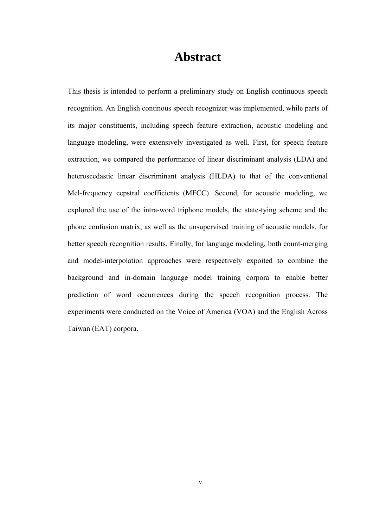## **Abstract**

This thesis is intended to perform a preliminary study on English continuous speech recognition. An English continous speech recognizer was implemented, while parts of its major constituents, including speech feature extraction, acoustic modeling and language modeling, were extensively investigated as well. First, for speech feature extraction, we compared the performance of linear discriminant analysis (LDA) and heteroscedastic linear discriminant analysis (HLDA) to that of the conventional Mel-frequency cepstral coefficients (MFCC) .Second, for acoustic modeling, we explored the use of the intra-word triphone models, the state-tying scheme and the phone confusion matrix, as well as the unsupervised training of acoustic models, for better speech recognition results. Finally, for language modeling, both count-merging and model-interpolation approaches were respectively expoited to combine the background and in-domain language model training corpora to enable better prediction of word occurrences during the speech recognition process. The experiments were conducted on the Voice of America (VOA) and the English Across Taiwan (EAT) corpora.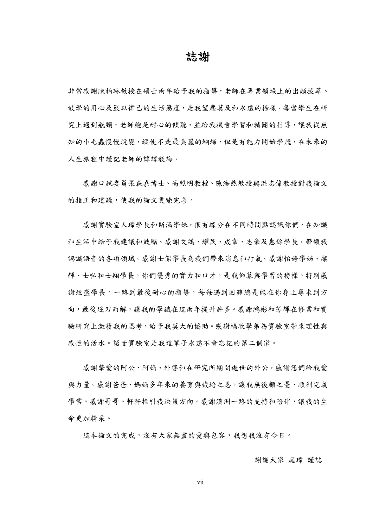誌謝

非常感謝陳柏琳教授在碩士兩年給予我的指導,老師在專業領域上的出類拔萃、 教學的用心及嚴以律己的生活態度,是我望塵莫及和永遠的榜樣。每當學生在研 究上遇到瓶頸,老師總是耐心的傾聽、並給我機會學習和精闢的指導,讓我從無 知的小毛蟲慢慢蛻變,縱使不是最美麗的蝴蝶,但是有能力開始學飛,在未來的 人生旅程中謹記老師的諄諄教誨。

感謝口試委員張森嘉博士、高照明教授、陳浩然教授與洪志偉教授對我論文 的指正和建議,使我的論文更臻完善。

感謝實驗室人瑋學長和斯涵學妹,很有緣分在不同時間點認識你們,在知識 和生活中給予我建議和鼓勵。感謝文鴻、耀民、成韋、志豪及惠銘學長,帶領我 認識語音的各項領域。感謝士傑學長為我們帶來消息和打氣。感謝怡婷學姊、燦 輝、士弘和士翔學長,你們優秀的實力和口才,是我仰慕與學習的榜樣。特別感 謝炫盛學長,一路到最後耐心的指導,每每遇到困難總是能在你身上尋求到方 向,最後迎刃而解,讓我的學識在這兩年提升許多。感謝鴻彬和芳輝在修業和實 驗研究上激發我的思考,給予我莫大的協助。感謝鴻欣學弟為實驗室帶來理性與 感性的活水。語音實驗室是我這輩子永遠不會忘記的第二個家。

感謝摯愛的阿公、阿媽、外婆和在研究所期間逝世的外公,感謝您們給我愛 與力量。感謝爸爸、媽媽多年來的養育與栽培之恩,讓我無後顧之憂、順利完成 學業。感謝哥哥、軒軒指引我決策方向。感謝漢洲一路的支持和陪伴,讓我的生 命更加精采。

這本論文的完成,沒有大家無盡的愛與包容,我想我沒有今日。

#### 謝謝大家 庭瑋 謹誌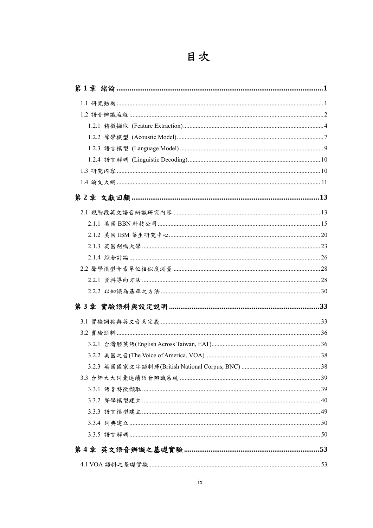| 2.2.2 以知識為基準之方法………………………………………………………………………………………30 |  |
|----------------------------------------------------|--|
|                                                    |  |
|                                                    |  |
|                                                    |  |
|                                                    |  |
|                                                    |  |
|                                                    |  |
|                                                    |  |
|                                                    |  |
|                                                    |  |
|                                                    |  |
|                                                    |  |
|                                                    |  |
|                                                    |  |
|                                                    |  |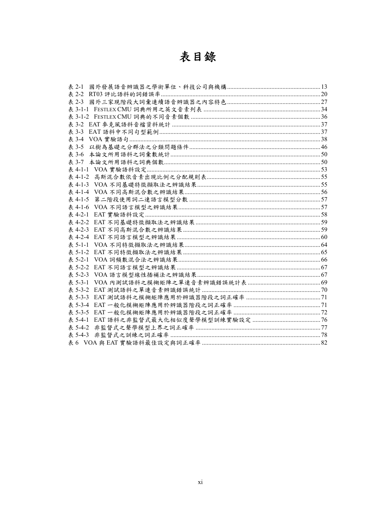# 表目錄

| 表 2-1 |  |
|-------|--|
|       |  |
|       |  |
|       |  |
|       |  |
|       |  |
|       |  |
|       |  |
| 表 3-5 |  |
| 表 3-6 |  |
| 表 3-7 |  |
|       |  |
|       |  |
|       |  |
|       |  |
|       |  |
|       |  |
|       |  |
|       |  |
|       |  |
|       |  |
|       |  |
|       |  |
|       |  |
|       |  |
|       |  |
|       |  |
|       |  |
|       |  |
|       |  |
|       |  |
|       |  |
|       |  |
|       |  |
|       |  |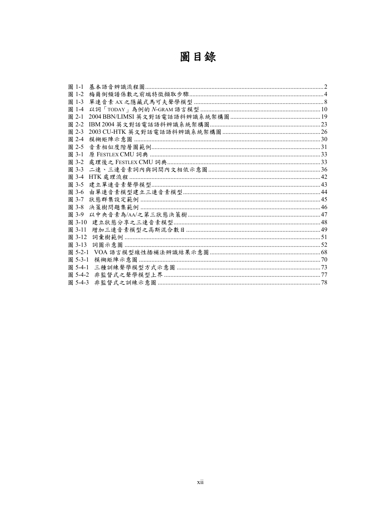| 圖 |  | 銯 |
|---|--|---|
|---|--|---|

| 圖 1-1   |  |
|---------|--|
| 圖 1-2   |  |
| 圖 1-3   |  |
| 圖 1-4   |  |
| 圖 2-1   |  |
| 圖 2-2   |  |
| 圖 2-3   |  |
| 圖 2-4   |  |
| 圖 2-5   |  |
| 圖 3-1   |  |
| 圖 3-2   |  |
|         |  |
| 圖 3-4   |  |
| 圖 3-5   |  |
| 圖 3-6   |  |
| 圖 3-7   |  |
| 圖 3-8   |  |
| 圖 3-9   |  |
| 圖 3-10  |  |
| 圖 3-11  |  |
| 圖 3-12  |  |
| 圖 3-13  |  |
| 圖 5-2-1 |  |
| 圖 5-3-1 |  |
| 圖 5-4-1 |  |
| 圖 5-4-2 |  |
| 圖 5-4-3 |  |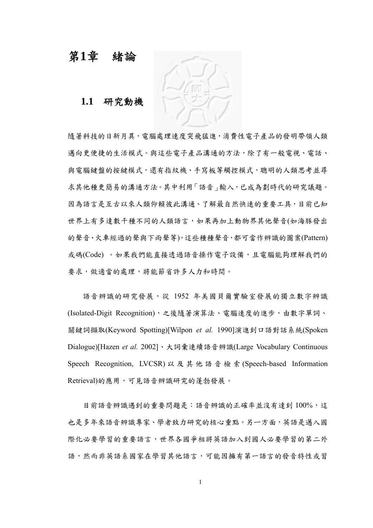## 第**1**章 緒論

**1.1** 研究動機

隨著科技的日新月異,電腦處理速度突飛猛進,消費性電子產品的發明帶領人類 適向更便捷的生活模式。與這些電子產品溝通的方法,除了有一般電視、電話、 與電腦鍵盤的按鍵模式,還有指紋機、手寫板等觸控模式,聰明的人類思考並尋 求其他種更簡易的溝通方法。其中利用「語音」輸入,已成為劃時代的研究議題。 因為語言是互古以來人類仰賴彼此溝通、了解最自然快速的重要工具,目前已知 世界上有多達數千種不同的人類語言,如果再加上動物界其他聲音(如海豚發出 的聲音、火車經過的聲與下雨聲等),這些種種聲音,都可當作辨識的圖案(Pattern) 或碼(Code)。如果我們能直接透過語音操作電子設備,且電腦能夠理解我們的 要求,做適當的處理,將能節省許多人力和時間。

語音辨識的研究發展,從 1952年美國貝爾實驗室發展的獨立數字辨識 (Isolated-Digit Recognition),之後隨著演算法、電腦速度的進步,由數字單詞、 關鍵詞擷取(Keyword Spotting)[Wilpon *et al.* 1990]演進到口語對話系統(Spoken Dialogue)[Hazen *et al.* 2002]、大詞彙連續語音辨識(Large Vocabulary Continuous Speech Recognition, LVCSR) 以及其他語音檢索 (Speech-based Information Retrieval)的應用,可見語音辨識研究的蓬勃發展。

目前語音辨識遇到的重要問題是:語音辨識的正確率並沒有達到100%,這 也是多年來語音辨識專家、學者致力研究的核心重點。另ㄧ方面,英語是邁入國 際化必要學習的重要語言,世界各國爭相將英語加入到國人必要學習的第二外 語,然而非英語系國家在學習其他語言,可能因擁有第一語言的發音特性或習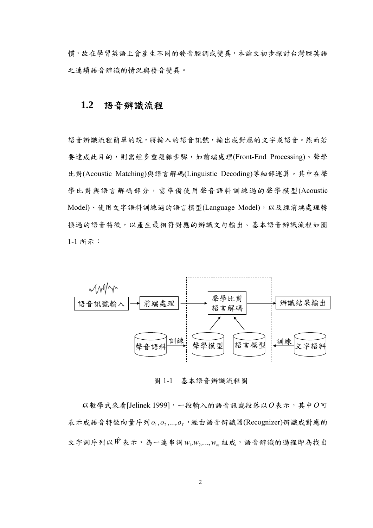慣,故在學習英語上會產生不同的發音腔調或變異,本論文初步探討台灣腔英語 之連續語音辨識的情況與發音變異。

## **1.2** 語音辨識流程

語音辨識流程簡單的說,將輸入的語音訊號,輸出成對應的文字或語音。然而若 要達成此目的,則需經多重複雜步驟,如前端處理(Front-End Processing)、聲學 比對(Acoustic Matching)與語言解碼(Linguistic Decoding)等細部運算。其中在聲 學比對與語言解碼部分,需準備使用聲音語料訓練過的聲學模型(Acoustic Model)、使用文字語料訓練過的語言模型(Language Model),以及經前端處理轉 換過的語音特徵,以產生最相符對應的辨識文句輸出。基本語音辨識流程如圖 1-1 所示:



圖 1-1 基本語音辨識流程圖

 以數學式來看[Jelinek 1999],一段輸入的語音訊號段落以*O*表示,其中*O*可 表示成語音特徵向量序列 $o_1, o_2, ..., o_r$ , 經由語音辨識器(Recognizer)辨識成對應的  $\propto$ 字詞序列以 $\hat{W}$ 表示,為一連串詞  $w_1, w_2, ..., w_m$ 組成,語音辨識的過程即為找出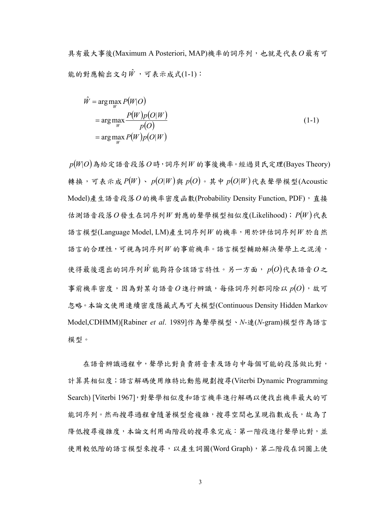具有最大事後(Maximum A Posteriori, MAP)機率的詞序列,也就是代表*O*最有可 能的對應輸出文句 $\hat{W}$ ,可表示成式(1-1):

$$
\hat{W} = \underset{W}{\arg\max_{W}} P(W|O) \n= \underset{W}{\arg\max_{W}} \frac{P(W)p(O|W)}{p(O)} \n= \underset{W}{\arg\max_{W}} P(W)p(O|W)
$$
\n(1-1)

 $p(W|O)$ 為給定語音段落 $O$ 時,詞序列 $W$ 的事後機率。經過貝氏定理(Bayes Theory) 轉換,可表示成  $P(W)$ ,  $p(O|W)$ 與  $p(O)$ 。其中  $p(O|W)$ 代表聲學模型(Acoustic Model)產生語音段落*O*的機率密度函數(Probability Density Function, PDF),直接 估測語音段落O發生在詞序列*W* 對應的聲學模型相似度(Likelihood);  $P(W)$ 代表 語言模型(Language Model, LM)產生詞序列*W* 的機率,用於評估詞序列*W* 於自然 語言的合理性,可視為詞序列*W* 的事前機率。語言模型輔助解決聲學上之混淆, 使得最後選出的詞序列 $\hat{W}$ 能夠符合該語言特性。另一方面,  $p(O)$ 代表語音 $O$ 之 事前機率密度,因為對某句語音 $O$ 進行辨識,每條詞序列都同除以 $p(O)$ ,故可 忽略。本論文使用連續密度隱藏式馬可夫模型(Continuous Density Hidden Markov Model,CDHMM)[Rabiner *et al*. 1989]作為聲學模型、*N*-連(*N*-gram)模型作為語言 模型。

在語音辨識過程中,聲學比對負責將音素及語句中每個可能的段落做比對, 計算其相似度;語言解碼使用維特比動態規劃搜尋(Viterbi Dynamic Programming Search) [Viterbi 1967],對聲學相似度和語言機率進行解碼以便找出機率最大的可 能詞序列。然而搜尋過程會隨著模型愈複雜,搜尋空間也呈現指數成長,故為了 降低搜尋複雜度,本論文利用兩階段的搜尋來完成:第一階段進行聲學比對,並 使用較低階的語言模型來搜尋,以產生詞圖(Word Graph),第二階段在詞圖上使

3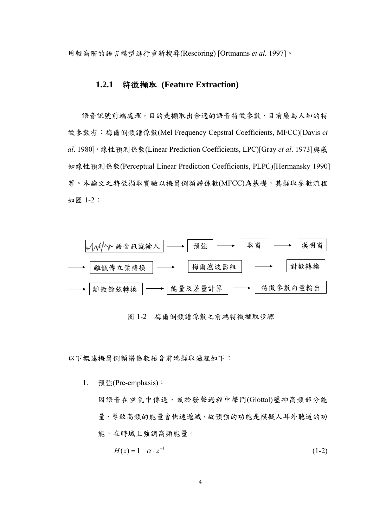用較高階的語言模型進行重新搜尋(Rescoring) [Ortmanns *et al.* 1997]。

#### **1.2.1** 特徵擷取 **(Feature Extraction)**

語音訊號前端處理,目的是擷取出合適的語音特徵參數,目前廣為人知的特 徵參數有:梅爾倒頻譜係數(Mel Frequency Cepstral Coefficients, MFCC)[Davis *et al*. 1980],線性預測係數(Linear Prediction Coefficients, LPC)[Gray *et al*. 1973]與感 知線性預測係數(Perceptual Linear Prediction Coefficients, PLPC)[Hermansky 1990] 等。本論文之特徵擷取實驗以梅爾倒頻譜係數(MFCC)為基礎,其擷取參數流程 如圖 1-2:



圖 1-2 梅爾倒頻譜係數之前端特徵擷取步驟

以下概述梅爾倒頻譜係數語音前端擷取過程如下:

1. 預強(Pre-emphasis): 因語音在空氣中傳送,或於發聲過程中聲門(Glottal)壓抑高頻部分能 量,導致高頻的能量會快速遞減,故預強的功能是模擬人耳外聽道的功 能,在時域上強調高頻能量。

$$
H(z) = 1 - \alpha \cdot z^{-1} \tag{1-2}
$$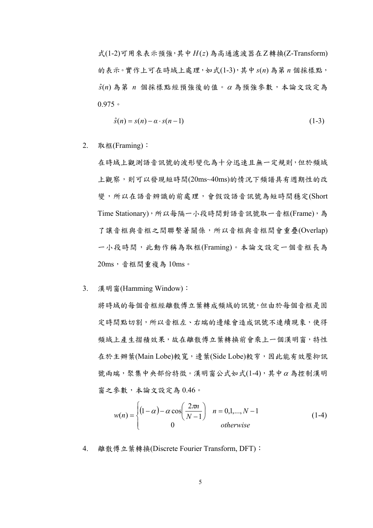式(1-2)可用來表示預強,其中 *H*(*z*) 為高通濾波器在Z轉換(Z-Transform) 的表示。實作上可在時域上處理,如式(1-3),其中*s*(*n*) 為第 *n* 個採樣點, *s*ˆ(*n*) 為第 *n* 個採樣點經預強後的值。<sup>α</sup> 為預強參數,本論文設定為 0.975。

$$
\hat{s}(n) = s(n) - \alpha \cdot s(n-1) \tag{1-3}
$$

2. 取框(Framing):

在時域上觀測語音訊號的波形變化為十分迅速且無一定規則,但於頻域 上觀察,則可以發現短時間(20ms~40ms)的情況下頻譜具有週期性的改 變,所以在語音辨識的前處理,會假設語音訊號為短時間穩定(Short Time Stationary),所以每隔一小段時間對語音訊號取一音框(Frame),為 了讓音框與音框之間聯繫著關係,所以音框與音框間會重疊(Overlap) 一小段時間,此動作稱為取框(Framing)。本論文設定一個音框長為 20ms,音框間重複為 10ms。

3. 漢明窗(Hamming Window):

將時域的每個音框經離散傅立葉轉成頻域的訊號,但由於每個音框是固 定時間點切割,所以音框左、右端的邊緣會造成訊號不連續現象,使得 頻域上產生摺積效果,故在離散傅立葉轉換前會乘上一個漢明窗,特性 在於主辦葉(Main Lobe)較寬,邊葉(Side Lobe)較窄,因此能有效壓抑訊 號兩端,聚集中央部份特徵。漢明窗公式如式(1-4),其中<sup>α</sup> 為控制漢明 窗之參數,本論文設定為 0.46。

$$
w(n) = \begin{cases} (1 - \alpha) - \alpha \cos\left(\frac{2\pi n}{N - 1}\right) & n = 0, 1, \dots, N - 1\\ 0 & otherwise \end{cases}
$$
 (1-4)

4. 離散傅立葉轉換(Discrete Fourier Transform, DFT):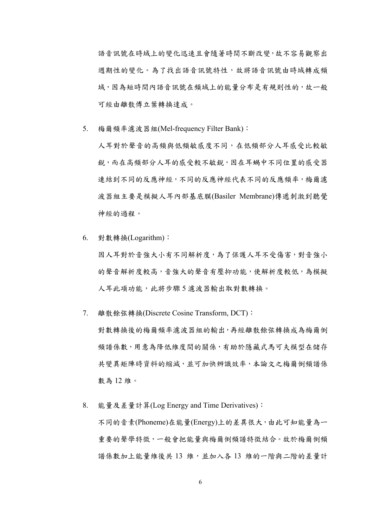語音訊號在時域上的變化迅速且會隨著時間不斷改變,故不容易觀察出 週期性的變化。為了找出語音訊號特性,故將語音訊號由時域轉成頻 域,因為短時間內語音訊號在頻域上的能量分布是有規則性的,故一般 可經由離散傅立葉轉換達成。

5. 梅爾頻率濾波器組(Mel-frequency Filter Bank):

人耳對於聲音的高頻與低頻敏感度不同,在低頻部分人耳感受比較敏 銳,而在高頻部分人耳的感受較不敏銳,因在耳蝸中不同位置的感受器 連結到不同的反應神經代表不同的反應頻率,梅爾濾 波器組主要是模擬人耳內部基底膜(Basiler Membrane)傳遞刺激到聽覺 神經的過程。

6. 對數轉換(Logarithm):

因人耳對於音強大小有不同解析度,為了保護人耳不受傷害,對音強小 的聲音解析度較高,音強大的聲音有壓抑功能,使解析度較低,為模擬 人耳此項功能,此將步驟 5 濾波器輸出取對數轉換。

7. 離散餘弦轉換(Discrete Cosine Transform, DCT):

對數轉換後的梅爾頻率濾波器組的輸出,再經離散餘弦轉換成為梅爾倒 頻譜係數,用意為降低維度間的關係,有助於隱藏式馬可夫模型在儲存 共變異矩陣時資料的縮減,並可加快辨識效率,本論文之梅爾倒頻譜係 數為 12 維。

8. 能量及差量計算(Log Energy and Time Derivatives): 不同的音素(Phoneme)在能量(Energy)上的差異很大,由此可知能量為一 重要的聲學特徵,一般會把能量與梅爾倒頻譜特徵結合。故於梅爾倒頻 譜係數加上能量維後共13 維,並加入各13 維的一階與二階的差量計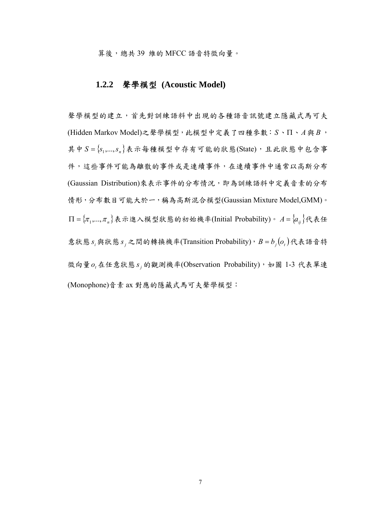算後,總共39 維的 MFCC 語音特徵向量。

#### **1.2.2** 聲學模型 **(Acoustic Model)**

聲學模型的建立了光對訓練語料中出現的各種語音訊號建立隱藏式馬可夫 (Hidden Markov Model)之聲學模型,此模型中定義了四種參數:*S*、Π、*A*與 *B* , 其中  $S = \{s_1, \ldots, s_n\}$ 表示每種模型中存有可能的狀態(State),且此狀態中包含事 件,這些事件可能為離散的事件或是連續事件,在連續事件中通常以高斯分布 (Gaussian Distribution)來表示事件的分布情況,即為訓練語料中定義音素的分布 情形,分布數目可能大於一,稱為高斯混合模型(Gaussian Mixture Model,GMM)。  $\Pi = {\pi_1, ..., \pi_n}$ 表示進入模型狀態的初始機率(Initial Probability)。  $A = {a_i}$ 代表任 意狀態  $s_i$ 與狀態  $s_j$ 之間的轉換機率(Transition Probability),  $B = b_j(o_t)$ 代表語音特 徵向量o<sub>t</sub>在任意狀態s;的觀測機率(Observation Probability),如圖 1-3 代表單連 (Monophone)音素 ax 對應的隱藏式馬可夫聲學模型: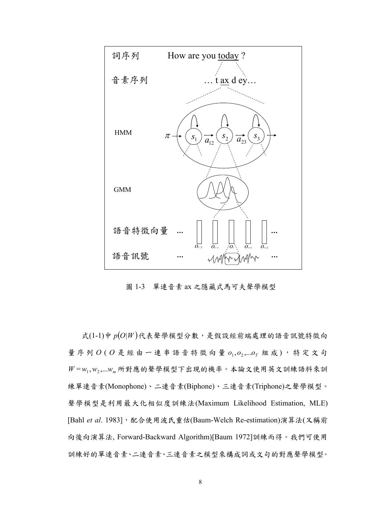

圖 1-3 單連音素 ax 之隱藏式馬可夫聲學模型

式 $(1-1)$ 中 $p(O|W)$ 代表聲學模型分數,是假設經前端處理的語音訊號特徵向 量序列  $O$  (  $O$  是 經 由 一 連 串 語 音 特 徵 向 量  $o_1, o_2, ... o_T$  組 成), 特 定 文 句  $W = w_1, w_2, ... w_m$ 所對應的聲學模型下出現的機率。本論文使用英文訓練語料來訓 練單連音素(Monophone)、二連音素(Biphone)、三連音素(Triphone)之聲學模型。 聲學模型是利用最大化相似度訓練法(Maximum Likelihood Estimation, MLE) [Bahl *et al*. 1983],配合使用波氏重估(Baum-Welch Re-estimation)演算法(又稱前 向後向演算法, Forward-Backward Algorithm)[Baum 1972]訓練而得。我們可使用 訓練好的單連音素、二連音素、三連音素之模型來構成詞或文句的對應聲學模型。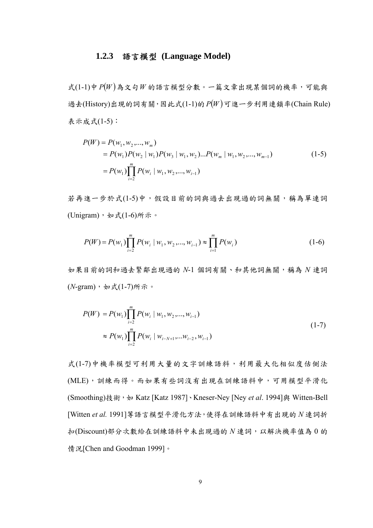## **1.2.3** 語言模型 **(Language Model)**

 $\pm$ (1-1)中 $P(W)$ 為文句 $W$ 的語言模型分數。一篇文章出現某個詞的機率,可能與 過去(History)出現的詞有關,因此式(1-1)的 *P*(*W* )可進ㄧ步利用連鎖率(Chain Rule) 表示成式(1-5):

$$
P(W) = P(w_1, w_2, ..., w_m)
$$
  
=  $P(w_1)P(w_2 | w_1)P(w_3 | w_1, w_2)...P(w_m | w_1, w_2, ..., w_{m-1})$   
=  $P(w_1)\prod_{i=2}^{m} P(w_i | w_1, w_2, ..., w_{i-1})$  (1-5)

若再進一步於式(1-5)中,假設目前的詞與過去出現過的詞無關,稱為單連詞 (Unigram),如式(1-6)所示。

$$
P(W) = P(w_1) \prod_{i=2}^{m} P(w_i \mid w_1, w_2, ..., w_{i-1}) \approx \prod_{i=1}^{m} P(w_i)
$$
 (1-6)

如果目前的詞和過去緊鄰出現過的 *N*-1 個詞有關、和其他詞無關,稱為 *N* 連詞 (*N*-gram),如式(1-7)所示。

$$
P(W) = P(w_1) \prod_{i=2}^{m} P(w_i | w_1, w_2, ..., w_{i-1})
$$
  
\n
$$
\approx P(w_1) \prod_{i=2}^{m} P(w_i | w_{i-N+1}, ..., w_{i-2}, w_{i-1})
$$
\n(1-7)

式(1-7)中機率模型可利用大量的文字訓練語料,利用最大化相似度估側法 (MLE),訓練而得。而如果有些詞沒有出現在訓練語料中,可用模型平滑化 (Smoothing)技術,如 Katz [Katz 1987]、Kneser-Ney [Ney *et al*. 1994]與 Witten-Bell [Witten *et al.* 1991]等語言模型平滑化方法,使得在訓練語料中有出現的 *N* 連詞折 扣(Discount)部分次數給在訓練語料中未出現過的 *N* 連詞,以解決機率值為 0 的 情況[Chen and Goodman 1999]。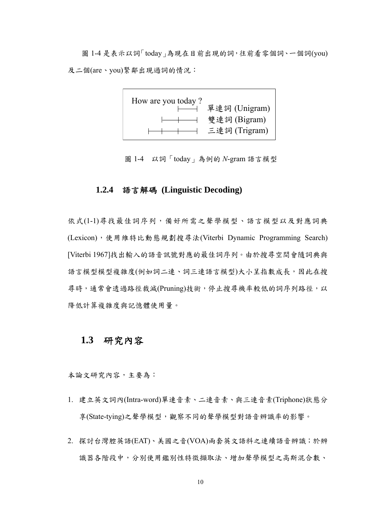圖 1-4 是表示以詞「today」為現在目前出現的詞,往前看零個詞、一個詞(you) 及二個(are、you)緊鄰出現過詞的情況:



圖 1-4 以詞「today」為例的 *N*-gram 語言模型

#### **1.2.4** 語言解碼 **(Linguistic Decoding)**

依式(1-1)尋找最佳詞序列,備好所需之聲學模型、語言模型以及對應詞典 (Lexicon),使用維特比動態規劃搜尋法(Viterbi Dynamic Programming Search) [Viterbi 1967]找出輸入的語音訊號對應的最佳詞序列。由於搜尋空間會隨詞典與 語言模型模型複雜度(例如詞二連、詞三連語言模型)大小呈指數成長,因此在搜 尋時,通常會透過路徑裁減(Pruning)技術,停止搜尋機率較低的詞序列路徑,以 降低計算複雜度與記憶體使用量。

## **1.3** 研究內容

本論文研究內容,主要為:

- 1. 建立英文詞內(Intra-word)單連音素、二連音素、與三連音素(Triphone)狀態分 享(State-tying)之聲學模型,觀察不同的聲學模型對語音辨識率的影響。
- 2. 探討台灣腔英語(EAT)、美國之音(VOA)兩套英文語料之連續語音辨識;於辨 識器各階段中,分別使用鑑別性特徵擷取法、增加聲學模型之高斯混合數、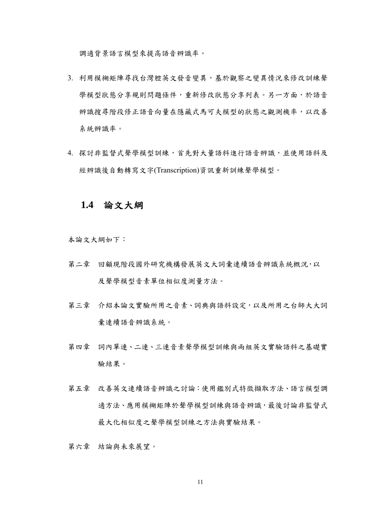調適背景語言模型來提高語音辨識率。

- 3. 利用模糊矩陣尋找台灣腔英文發音變異,基於觀察之變異情況來修改訓練聲 學模型狀態分享規則問題條件,重新修改狀態分享列表。另一方面,於語音 辨識搜尋階段修正語音向量在隱藏式馬可夫模型的狀態之觀測機率,以改善 系統辨識率。
- 4. 探討非監督式聲學模型訓練,首先對大量語料進行語音辨識,並使用語料及 經辨識後自動轉寫文字(Transcription)資訊重新訓練聲學模型。

#### **1.4** 論文大綱

本論文大綱如下︰

- 第二章 回顧現階段國外研究機構發展英文大詞彙連續語音辨識系統概況,以 及聲學模型音素單位相似度測量方法。
- 第三章 介紹本論文實驗所用之音素、詞典與語料設定,以及所用之台師大大詞 彙連續語音辨識系統。
- 第四章 詞內單連、二連、三連音素聲學模型訓練與兩組英文實驗語料之基礎實 驗結果。
- 第五章 改善英文連續語音辨識之討論:使用鑑別式特徵擷取方法、語言模型調 適方法、應用模糊矩陣於聲學模型訓練與語音辨識,最後討論非監督式 最大化相似度之聲學模型訓練之方法與實驗結果。

第六章 結論與未來展望。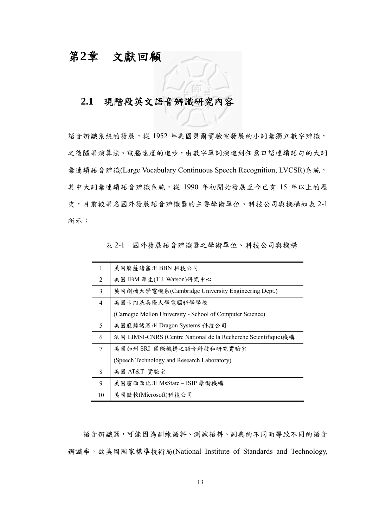# 第**2**章 文獻回顧

## **2.1** 現階段英文語音辨識研究內容

語音辨識系統的發展,從 1952年美國貝爾實驗室發展的小詞彙獨立數字辨識, 之後隨著演算法、電腦速度的進步,由數字單詞演進到任意口語連續語句的大詞 彙連續語音辨識(Large Vocabulary Continuous Speech Recognition, LVCSR)系統, 其中大詞彙連續語音辨識系統,從 1990 年初開始發展至今已有 15 年以上的歷 史,目前較著名國外發展語音辨識器的主要學術單位、科技公司與機構如表 2-1 所示:

|    | 美國麻薩諸塞州 BBN 科技公司                                               |  |  |
|----|----------------------------------------------------------------|--|--|
| 2  | 美國 IBM 華生(T.J. Watson)研究中心                                     |  |  |
| 3  | 英國劍橋大學電機系(Cambridge University Engineering Dept.)              |  |  |
| 4  | 美國卡內基美隆大學電腦科學學校                                                |  |  |
|    | (Carnegie Mellon University - School of Computer Science)      |  |  |
| 5  | 美國麻薩諸塞州 Dragon Systems 科技公司                                    |  |  |
| 6  | 法國 LIMSI-CNRS (Centre National de la Recherche Scientifique)機構 |  |  |
| 7  | 美國加州 SRI 國際機構之語音科技和研究實驗室                                       |  |  |
|    | (Speech Technology and Research Laboratory)                    |  |  |
| 8  | 美國 AT&T 實驗室                                                    |  |  |
| 9  | 美國密西西比州 MsState – ISIP 學術機構                                    |  |  |
| 10 | 美國微軟(Microsoft)科技公司                                            |  |  |

表 2-1 國外發展語音辨識器之學術單位、科技公司與機構

語音辨識器,可能因為訓練語料、測試語料、詞典的不同而導致不同的語音 辨識率,故美國國家標準技術局(National Institute of Standards and Technology,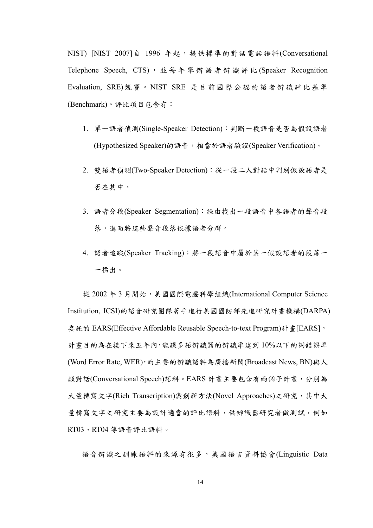NIST) [NIST 2007]自 1996 年起,提供標準的對話電話語料(Conversational Telephone Speech, CTS), 並每年舉辦語者辨識評比 (Speaker Recognition Evaluation, SRE)競賽。NIST SRE 是目前國際公認的語者辨識評比基準 (Benchmark)。評比項目包含有:

- 1. 單一語者偵測(Single-Speaker Detection):判斷一段語音是否為假設語者 (Hypothesized Speaker)的語音,相當於語者驗證(Speaker Verification)。
- 2. 雙語者偵測(Two-Speaker Detection):從一段二人對話中判別假設語者是 否在其中。
- 3. 語者分段(Speaker Segmentation):經由找出一段語音中各語者的聲音段 落,進而將這些聲音段落依據語者分群。
- 4. 語者追蹤(Speaker Tracking):將一段語音中屬於某一假設語者的段落一 一標出。

從 2002 年 3 月開始,美國國際電腦科學組織(International Computer Science Institution, ICSI)的語音研究團隊著手進行美國國防部先進研究計畫機構(DARPA) 委託的 EARS(Effective Affordable Reusable Speech-to-text Program)計畫[EARS], 計畫目的為在接下來五年內,能讓多語辨識器的辨識率達到 10%以下的詞錯誤率 (Word Error Rate, WER),而主要的辨識語料為廣播新聞(Broadcast News, BN)與人 類對話(Conversational Speech)語料。EARS 計畫主要包含有兩個子計畫,分別為 大量轉寫文字(Rich Transcription)與創新方法(Novel Approaches)之研究,其中大 量轉寫文字之研究主要為設計適當的評比語料,供辨識器研究者做測試,例如 RT03、RT04 等語音評比語料。

語音辨識之訓練語料的來源有很多,美國語言資料協會(Linguistic Data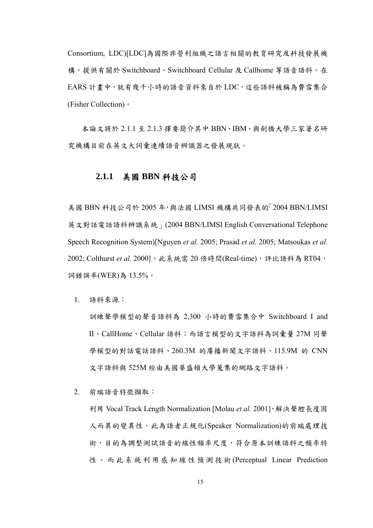Consortium, LDC)[LDC]為國際非營利組織之語言相關的教育研究及科技發展機 構,提供有關於 Switchboard、Switchboard Cellular 及 Callhome 等語音語料。在 EARS 計畫中,就有幾千小時的語音資料來自於 LDC,這些語料被稱為費雪集合 (Fisher Collection)。

本論文將於 2.1.1 至 2.1.3 擇要簡介其中 BBN、IBM、與劍橋大學三家著名研 究機構目前在英文大詞彙連續語音辨識器之發展現狀。

#### **2.1.1** 美國 **BBN** 科技公司

美國 BBN 科技公司於 2005 年,與法國 LIMSI 機構共同發表的「2004 BBN/LIMSI 英文對話電話語料辨識系統」(2004 BBN/LIMSI English Conversational Telephone Speech Recognition System)[Nguyen *et al.* 2005; Prasad *et al.* 2005; Matsoukas *et al.* 2002; Colthurst et al. 2000], 此系統需 20 倍時間(Real-time),評比語料為 RT04, 詞錯誤率(WER)為 13.5%。

1. 語料來源:

訓練聲學模型的聲音語料為 2,300 小時的費雪集合中 Switchboard I and II、CallHome、Cellular 語料;而語言模型的文字語料為詞彙量 27M 同聲 學模型的對話電話語料、260.3M 的廣播新聞文字語料、115.9M 的 CNN 文字語料與 525M 經由美國華盛頓大學蒐集的網路文字語料。

2. 前端語音特徵擷取:

利用 Vocal Track Length Normalization [Molau *et al.* 2001],解決聲腔長度因 人而異的變異性,此為語者正規化(Speaker Normalization)的前端處理技 術,目的為調整測試語音的線性頻率尺度,符合原本訓練語料之頻率特 性。而此系統利用感知線性預測技術 (Perceptual Linear Prediction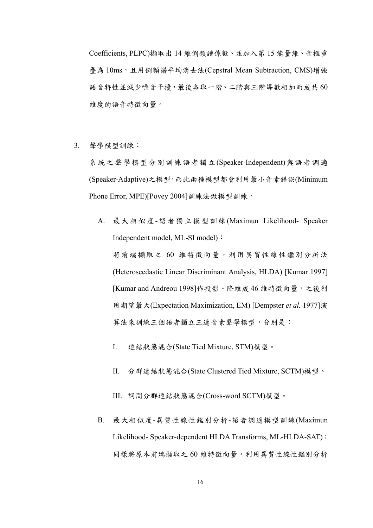Coefficients, PLPC)擷取出 14 維倒頻譜係數、並加入第 15 能量維、音框重 疊為 10ms,且用倒頻譜平均消去法(Cepstral Mean Subtraction, CMS)增強 語音特性並減少噪音干擾,最後各取一階、二階與三階導數相加而成共60 維度的語音特徵向量。

3. 聲學模型訓練:

系統之聲學模型分別訓練語者獨立(Speaker-Independent)與語者調適 (Speaker-Adaptive)之模型,而此兩種模型都會利用最小音素錯誤(Minimum Phone Error, MPE)[Povey 2004]訓練法做模型訓練。

- A. 最大相似度-語者獨立模型訓練(Maximun Likelihood- Speaker Independent model, ML-SI model): 將前端擷取之 60 維特徵向量,利用異質性線性鑑別分析法 (Heteroscedastic Linear Discriminant Analysis, HLDA) [Kumar 1997] [Kumar and Andreou 1998]作投影、降維成 46 維特徵向量,之後利 用期望最大(Expectation Maximization, EM) [Dempster *et al.* 1977]演 算法來訓練三個語者獨立三連音素聲學模型,分別是:
	- I. 連結狀態混合(State Tied Mixture, STM)模型。
	- II. 分群連結狀態混合(State Clustered Tied Mixture, SCTM)模型。
	- III. 詞間分群連結狀態混合(Cross-word SCTM)模型。
- B. 最大相似度-異質性線性鑑別分析-語者調適模型訓練(Maximun Likelihood- Speaker-dependent HLDA Transforms, ML-HLDA-SAT): 同樣將原本前端擷取之60維特徵向量,利用異質性線性鑑別分析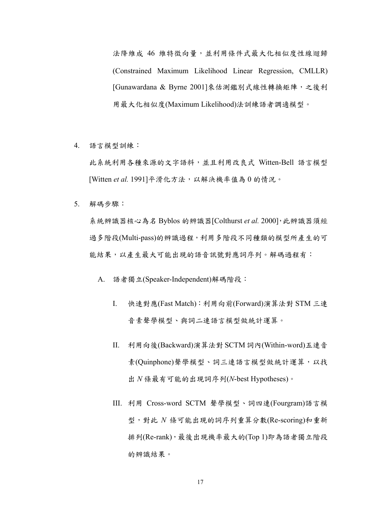法降維成 46 維特徵向量,並利用條件式最大化相似度性線迴歸 (Constrained Maximum Likelihood Linear Regression, CMLLR) [Gunawardana & Byrne 2001]來估測鑑別式線性轉換矩陣,之後利 用最大化相似度(Maximum Likelihood)法訓練語者調適模型。

4. 語言模型訓練:

此系統利用各種來源的文字語料,並且利用改良式 Witten-Bell 語言模型 [Witten et al. 1991]平滑化方法,以解決機率值為 0 的情況。

5. 解碼步驟:

系統辨識器核心為名 Byblos 的辨識器[Colthurst *et al.* 2000],此辨識器須經 過多階段(Multi-pass)的辨識過程,利用多階段不同種類的模型所產生的可 能結果,以產生最大可能出現的語音訊號對應詞序列。解碼過程有:

A. 語者獨立(Speaker-Independent)解碼階段:

- I. 快速對應(Fast Match):利用向前(Forward)演算法對 STM 三連 音素聲學模型、與詞二連語言模型做統計運算。
- II. 利用向後(Backward)演算法對 SCTM 詞內(Within-word)五連音 素(Quinphone)聲學模型、詞三連語言模型做統計運算,以找 出 *N* 條最有可能的出現詞序列(*N*-best Hypotheses)。
- III. 利用 Cross-word SCTM 聲學模型、詞四連(Fourgram)語言模 型,對此 *N* 條可能出現的詞序列重算分數(Re-scoring)和重新 排列(Re-rank),最後出現機率最大的(Top 1)即為語者獨立階段 的辨識結果。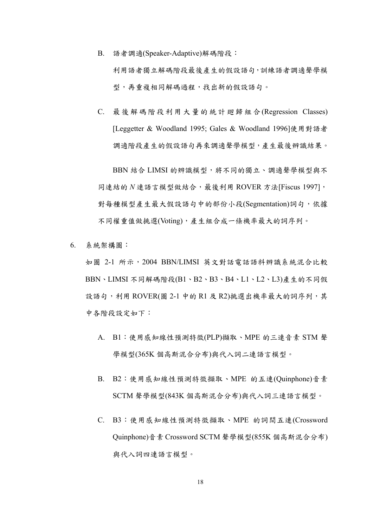- B. 語者調適(Speaker-Adaptive)解碼階段: 利用語者獨立解碼階段最後產生的假設語句,訓練語者調適聲學模 型,再重複相同解碼過程,找出新的假設語句。
- C. 最後解碼階段利用大量的統計廻歸組合(Regression Classes) [Leggetter & Woodland 1995; Gales & Woodland 1996]使用對語者 調適階段產生的假設語句再來調適聲學模型,產生最後辨識結果。

BBN 結合 LIMSI 的辨識模型,將不同的獨立、調適聲學模型與不  $\Box$ 同連結的  $N$ 連語言模型做結合,最後利用 ROVER 方法[Fiscus 1997], 對每種模型產生最大假設語句中的部份小段(Segmentation)詞句,依據 不同權重值做挑選(Voting),產生組合成一條機率最大的詞序列。

6. 系統架構圖:

如圖 2-1 所示, 2004 BBN/LIMSI 英文對話電話語料辨識系統混合比較 BBN、LIMSI 不同解碼階段(B1、B2、B3、B4、L1、L2、L3)產生的不同假 設語句,利用 ROVER(圖 2-1 中的 R1 及 R2)挑選出機率最大的詞序列,其 中各階段設定如下:

- A. B1:使用感知線性預測特徵(PLP)擷取、MPE 的三連音素 STM 聲 學模型(365K 個高斯混合分布)與代入詞二連語言模型。
- B. B2:使用感知線性預測特徵擷取、MPE 的五連(Quinphone)音素 SCTM 聲學模型(843K 個高斯混合分布)與代入詞三連語言模型。
- C. B3:使用感知線性預測特徵擷取、MPE 的詞間五連(Crossword Quinphone)音素 Crossword SCTM 聲學模型(855K 個高斯混合分布) 與代入詞四連語言模型。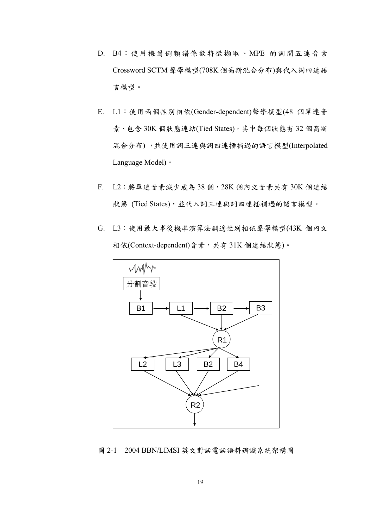- D. B4:使用梅爾倒頻譜係數特徵擷取、MPE 的詞間五連音素 Crossword SCTM 聲學模型(708K 個高斯混合分布)與代入詞四連語 言模型。
- E. L1:使用兩個性別相依(Gender-dependent)聲學模型(48 個單連音 素、包含 30K 個狀態連結(Tied States), 其中每個狀態有 32 個高斯 混合分布) ,並使用詞三連與詞四連插補過的語言模型(Interpolated Language Model)。
- F. L2:將單連音素減少成為 38 個,28K 個內文音素共有 30K 個連結 狀態 (Tied States),並代入詞三連與詞四連插補過的語言模型。
- G. L3:使用最大事後機率演算法調適性別相依聲學模型(43K 個內文 相依(Context-dependent)音素,共有 31K 個連結狀態)。



圖 2-1 2004 BBN/LIMSI 英文對話電話語料辨識系統架構圖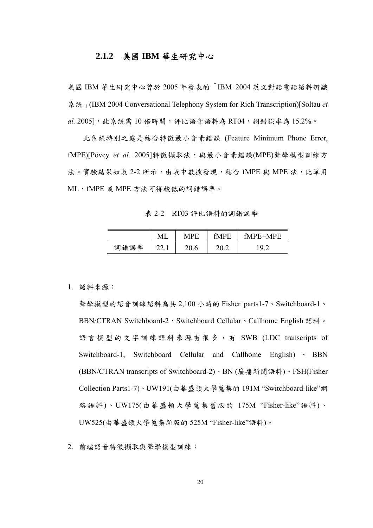#### **2.1.2** 美國 **IBM** 華生研究中心

美國 IBM 華生研究中心曾於 2005 年發表的「IBM 2004 英文對話電話語料辨識 系統」(IBM 2004 Conversational Telephony System for Rich Transcription)[Soltau *et*  al. 2005], 此系統需 10 倍時間,評比語音語料為 RT04, 詞錯誤率為 15.2%。

 此系統特別之處是結合特徵最小音素錯誤 (Feature Minimum Phone Error, fMPE)[Povey et al. 2005] 特徵擷取法,與最小音素錯誤(MPE) 聲學模型訓練方 法。實驗結果如表 2-2 所示,由表中數據發現,結合 fMPE 與 MPE 法,比單用 ML、fMPE 或 MPE 方法可得較低的詞錯誤率。

表 2-2 RT03 評比語料的詞錯誤率

|      | VП              |           | N | ÞБ<br>μ<br>'N/L<br>-<br>- |
|------|-----------------|-----------|---|---------------------------|
| 詞錯誤率 | $\sim$<br>44. l | n<br>∠∪.∪ |   | Q<br>. .                  |

1. 語料來源:

聲學模型的語音訓練語料為共 2,100 小時的 Fisher parts1-7、Switchboard-1、 BBN/CTRAN Switchboard-2、Switchboard Cellular、Callhome English 語料。 語言模型的文字訓練語料來源有很多,有 SWB (LDC transcripts of Switchboard-1, Switchboard Cellular and Callhome English) 、 BBN (BBN/CTRAN transcripts of Switchboard-2)、BN (廣播新聞語料)、FSH(Fisher Collection Parts1-7)、UW191(由華盛頓大學蒐集的 191M "Switchboard-like"網 路語料)、UW175(由華盛頓大學蒐集舊版的 175M "Fisher-like"語料)、 UW525(由華盛頓大學蒐集新版的 525M "Fisher-like"語料)。

2. 前端語音特徵擷取與聲學模型訓練: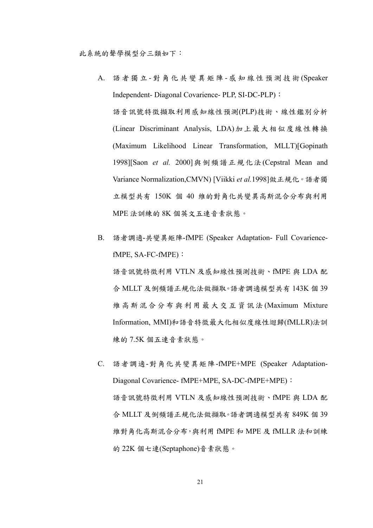- A. 語者獨立 對角化共變異矩陣 感知線性預測技術 (Speaker Independent- Diagonal Covarience- PLP, SI-DC-PLP): 語音訊號特徵擷取利用感知線性預測(PLP)技術、線性鑑別分析 (Linear Discriminant Analysis, LDA)加上最大相似度線性轉換 (Maximum Likelihood Linear Transformation, MLLT)[Gopinath 1998][Saon *et al.* 2000]與倒頻譜正規化法(Cepstral Mean and Variance Normalization,CMVN) [Viikki *et al.*1998]做正規化。語者獨 立模型共有 150K 個 40 維的對角化共變異高斯混合分布與利用 MPE 法訓練的 8K 個英文五連音素狀態。
- B. 語者調適-共變異矩陣-fMPE (Speaker Adaptation- Full CovariencefMPE, SA-FC-fMPE):

語音訊號特徵利用 VTLN 及感知線性預測技術、fMPE 與 LDA 配 合 MLLT 及倒頻譜正規化法做擷取。語者調適模型共有 143K 個 39 維高斯混合分布與利用最大交互資訊法 (Maximum Mixture Information, MMI)和語音特徵最大化相似度線性迴歸(fMLLR)法訓 練的 7.5K 個五連音素狀態。

C. 語者調適-對角化共變異矩陣-fMPE+MPE (Speaker Adaptation-Diagonal Covarience- fMPE+MPE, SA-DC-fMPE+MPE): 語音訊號特徵利用 VTLN 及感知線性預測技術、fMPE 與 LDA 配 合 MLLT 及倒頻譜正規化法做擷取。語者調適模型共有 849K 個 39 維對角化高斯混合分布,與利用 fMPE 和 MPE 及 fMLLR 法和訓練 的 22K 個七連(Septaphone)音素狀態。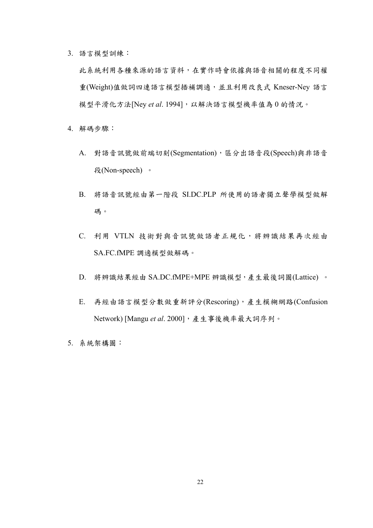3. 語言模型訓練:

此系統利用各種來源的語言資料,在實作時會依據與語音相關的程度不同權 重(Weight)值做詞四連語言模型插補調適,並且利用改良式 Kneser-Ney 語言 模型平滑化方法[Ney *et al*. 1994],以解決語言模型機率值為 0 的情況。

- 4. 解碼步驟:
	- A. 對語音訊號做前端切刻(Segmentation),區分出語音段(Speech)與非語音 段(Non-speech) 。
	- B. 將語音訊號經由第一階段 SI.DC.PLP 所使用的語者獨立聲學模型做解 碼。
	- C. 利用 VTLN 技術對與音訊號做語者正規化,將辨識結果再次經由 SA.FC.fMPE 調適模型做解碼。
	- D. 將辨識結果經由 SA.DC.fMPE+MPE 辨識模型,產生最後詞圖(Lattice) 。
	- E. 再經由語言模型分數做重新評分(Rescoring),產生模糊網路(Confusion Network) [Mangu et al. 2000], 產生事後機率最大詞序列。
- 5. 系統架構圖: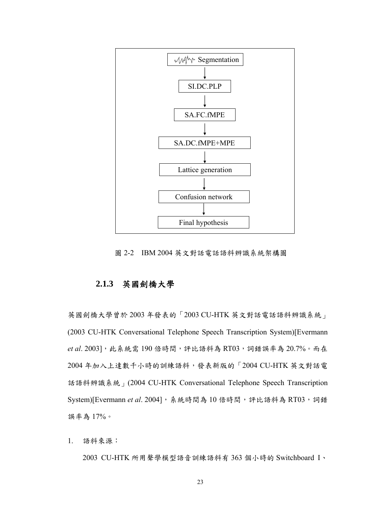

圖 2-2 IBM 2004 英文對話電話語料辨識系統架構圖

## **2.1.3** 英國劍橋大學

英國劍橋大學曾於 2003 年發表的「2003 CU-HTK 英文對話電話語料辨識系統」 (2003 CU-HTK Conversational Telephone Speech Transcription System)[Evermann et al. 2003], 此系統需 190 倍時間,評比語料為 RT03,詞錯誤率為 20.7%。而在 2004 年加入上達數千小時的訓練語料,發表新版的「2004 CU-HTK 英文對話電 話語料辨識系統」(2004 CU-HTK Conversational Telephone Speech Transcription System)[Evermann et al. 2004], 系統時間為 10 倍時間,評比語料為 RT03, 詞錯 誤率為 17%。

1. 語料來源:

2003 CU-HTK 所用聲學模型語音訓練語料有 363 個小時的 Switchboard I、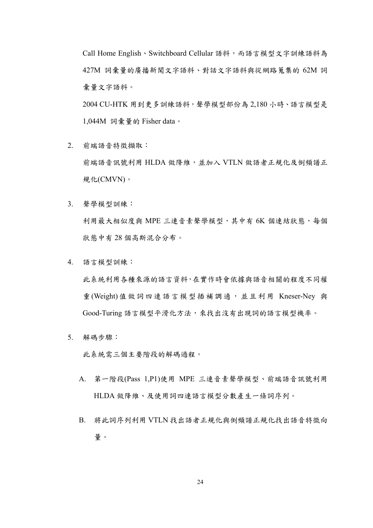Call Home English、Switchboard Cellular 語料,而語言模型文字訓練語料為 427M 詞彙量的廣播新聞文字語料、對話文字語料與從網路蒐集的 62M 詞 彙量文字語料。

2004 CU-HTK 用到更多訓練語料,聲學模型部份為 2,180 小時、語言模型是 1,044M 詞彙量的 Fisher data。

- 2. 前端語音特徵擷取: 前端語音訊號利用 HLDA 做降維,並加入 VTLN 做語者正規化及倒頻譜正 規化(CMVN)。
- 3. 聲學模型訓練: 利用最大相似度與 MPE 三連音素聲學模型,其中有 6K 個連結狀態,每個 狀態中有 28 個高斯混合分布。
- 4. 語言模型訓練:

此系統利用各種來源的語言資料,在實作時會依據與語音相關的程度不同權 重(Weight)值做詞四連語言模型插補調適,並且利用 Kneser-Ney 與 Good-Turing 語言模型平滑化方法,來找出沒有出現詞的語言模型機率。

5. 解碼步驟:

此系統需三個主要階段的解碼過程。

- A. 第一階段(Pass 1,P1)使用 MPE 三連音素聲學模型、前端語音訊號利用 HLDA 做降維、及使用詞四連語言模型分數產生一條詞序列。
- B. 將此詞序列利用 VTLN 找出語者正規化與倒頻譜正規化找出語音特徵向 量。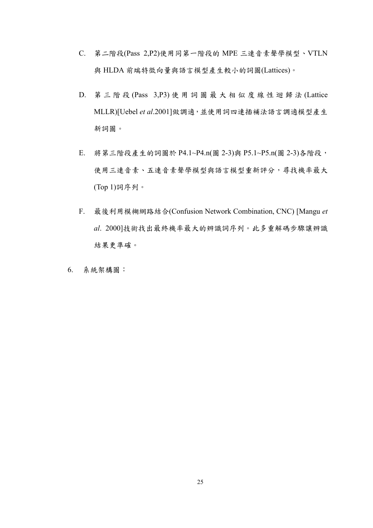- C. 第二階段(Pass 2,P2)使用同第一階段的 MPE 三連音素聲學模型、VTLN 與 HLDA 前端特徵向量與語言模型產生較小的詞圖(Lattices)。
- D. 第三階段 (Pass 3,P3) 使用詞圖最大相似度線性迴歸法 (Lattice MLLR)[Uebel *et al*.2001]做調適,並使用詞四連插補法語言調適模型產生 新詞圖。
- E. 將第三階段產生的詞圖於 P4.1~P4.n(圖 2-3)與 P5.1~P5.n(圖 2-3)各階段, 使用三連音素、五連音素聲學模型與語言模型重新評分,尋找機率最大 (Top 1)詞序列。
- F. 最後利用模糊網路結合(Confusion Network Combination, CNC) [Mangu *et al*. 2000]技術找出最終機率最大的辨識詞序列。此多重解碼步驟讓辨識 結果更準確。
- 6. 系統架構圖: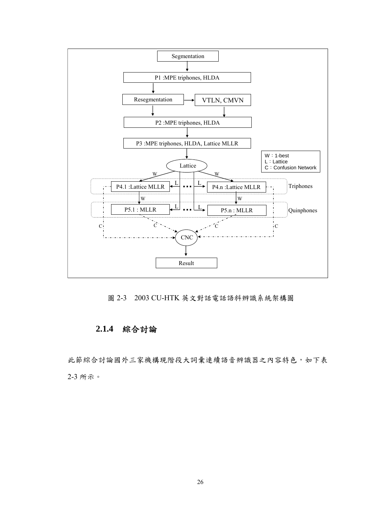

圖 2-3 2003 CU-HTK 英文對話電話語料辨識系統架構圖

### **2.1.4** 綜合討論

此節綜合討論國外三家機構現階段大詞彙連續語音辨識器之內容特色,如下表 2-3 所示。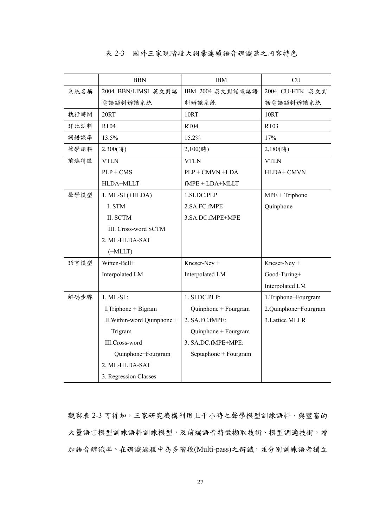#### 表 2-3 國外三家現階段大詞彙連續語音辨識器之內容特色

|      | <b>BBN</b>                  | <b>IBM</b>            | CU                   |
|------|-----------------------------|-----------------------|----------------------|
| 系統名稱 | 2004 BBN/LIMSI 英文對話         | IBM 2004 英文對話電話語      | 2004 CU-HTK 英文對      |
|      | 電話語料辨識系統                    | 料辨識系統                 | 話電話語料辨識系統            |
| 執行時間 | 20RT                        | <b>10RT</b>           | <b>10RT</b>          |
| 評比語料 | RT <sub>04</sub>            | <b>RT04</b>           | RT <sub>03</sub>     |
| 詞錯誤率 | 13.5%                       | 15.2%                 | 17%                  |
| 聲學語料 | 2,300(時)                    | 2,100(時)              | 2,180(時)             |
| 前端特徵 | <b>VTLN</b>                 | <b>VTLN</b>           | <b>VTLN</b>          |
|      | $PLP + CMS$                 | PLP + CMVN +LDA       | HLDA+ CMVN           |
|      | HLDA+MLLT                   | $fMPE + LDA+MLLT$     |                      |
| 聲學模型 | $1. ML-SI (+HLDA)$          | 1.SI.DC.PLP           | $MPE + Triphone$     |
|      | I. STM                      | 2.SA.FC.fMPE          | Quinphone            |
|      | II. SCTM                    | 3.SA.DC.fMPE+MPE      |                      |
|      | III. Cross-word SCTM        |                       |                      |
|      | 2. ML-HLDA-SAT              |                       |                      |
|      | (HMLLT)                     |                       |                      |
| 語言模型 | Witten-Bell+                | Kneser-Ney +          | Kneser-Ney +         |
|      | Interpolated LM             | Interpolated LM       | Good-Turing+         |
|      |                             |                       | Interpolated LM      |
| 解碼步驟 | $1. ML-SI$ :                | 1. SI.DC.PLP:         | 1.Triphone+Fourgram  |
|      | I.Triphone + Bigram         | Quinphone + Fourgram  | 2.Quinphone+Fourgram |
|      | II. Within-word Quinphone + | 2. SA.FC.fMPE:        | 3.Lattice MLLR       |
|      | Trigram                     | Quinphone + Fourgram  |                      |
|      | III.Cross-word              | 3. SA.DC.fMPE+MPE:    |                      |
|      | Quinphone+Fourgram          | Septaphone + Fourgram |                      |
|      | 2. ML-HLDA-SAT              |                       |                      |
|      | 3. Regression Classes       |                       |                      |

觀察表 2-3 可得知,三家研究機構利用上千小時之聲學模型訓練語料,與豐富的 大量語言模型訓練語料訓練模型,及前端語音特徵擷取技術、模型調適技術,增 加語音辨識率。在辨識過程中為多階段(Multi-pass)之辨識,並分別訓練語者獨立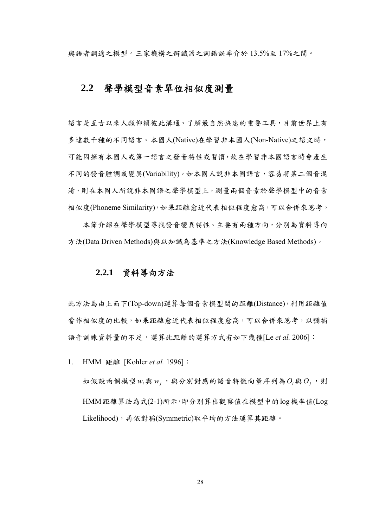與語者調適之模型。三家機構之辨識器之詞錯誤率介於 13.5%至 17%之間。

## **2.2** 聲學模型音素單位相似度測量

語言是互古以來人類仰賴彼此溝通、了解最自然快速的重要工具,目前世界上有 多達數千種的不同語言。本國人(Native)在學習非本國人(Non-Native)之語文時, 可能因擁有本國人或第一語言之發音特性或習慣,故在學習非本國語言時會產生 不同的發音腔調或變異(Variability)。如本國人說非本國語言,容易將某二個音混 淆,則在本國人所說非本國語之聲學模型上,測量兩個音素於聲學模型中的音素 相似度(Phoneme Similarity),如果距離愈近代表相似程度愈高,可以合併來思考。

 本節介紹在聲學模型尋找發音變異特性。主要有兩種方向,分別為資料導向 方法(Data Driven Methods)與以知識為基準之方法(Knowledge Based Methods)。

#### **2.2.1** 資料導向方法

此方法為由上而下(Top-down)運算每個音素模型間的距離(Distance),利用距離值 當作相似度的比較,如果距離愈近代表相似程度愈高,可以合併來思考,以彌補 語音訓練資料量的不足,運算此距離的運算方式有如下幾種[Le *et al.* 2006]:

1. HMM 距離 [Kohler *et al.* 1996]:

如假設兩個模型 w<sub>i</sub> 與 w<sub>i</sub>,, 與分別對應的語音特徵向量序列為O<sub>i</sub>與O<sub>i</sub>,則 HMM距離算法為式(2-1)所示,即分別算出觀察值在模型中的log機率值(Log Likelihood),再依對稱(Symmetric)取平均的方法運算其距離。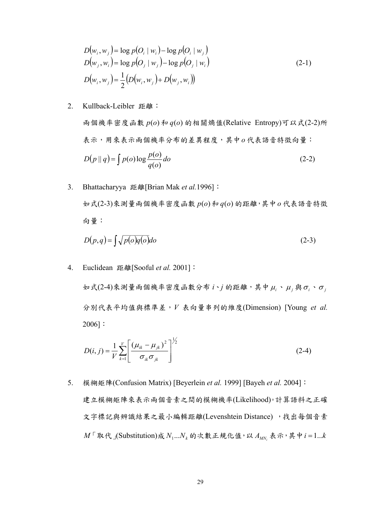$$
D(w_i, w_j) = \log p(O_i | w_i) - \log p(O_i | w_j)
$$
  
\n
$$
D(w_j, w_i) = \log p(O_j | w_j) - \log p(O_j | w_i)
$$
  
\n
$$
D(w_i, w_j) = \frac{1}{2} (D(w_i, w_j) + D(w_j, w_i))
$$
\n(2-1)

2. Kullback-Leibler 距離:

兩個機率密度函數 *p*(*o*) 和 *q*(*o*) 的相關熵值(Relative Entropy)可以式(2-2)所 表示,用來表示兩個機率分布的差異程度,其中*o* 代表語音特徵向量:  $(p || q) = \int p(o) \log \frac{p(o)}{q(o)} do$  $D(p||q) = \int p(o) \log \frac{p(o)}{q}$  $\left( o \right)$  $||q| = \int p(o) \log \frac{p(o)}{q(o)} do$  (2-2)

3. Bhattacharyya 距離[Brian Mak *et al.*1996]: 如式(2-3)來測量兩個機率密度函數 *p*(*o*)和*q*(*o*) 的距離,其中*o* 代表語音特徵 向量:

$$
D(p,q) = \int \sqrt{p(o)q(o)} do \tag{2-3}
$$

4. Euclidean 距離[Sooful *et al.* 2001]:

 $\frac{1}{2}$  (2-4)來測量兩個機率密度函數分布 *i*、j 的距離, 其中 μ<sub>i</sub>、μ<sub>j</sub> 與 σ<sub>i</sub>、σ<sub>j</sub> 分別代表平均值與標準差,*V* 表向量串列的維度(Dimension) [Young *et al.* 2006]:

$$
D(i, j) = \frac{1}{V} \sum_{k=1}^{V} \left[ \frac{(\mu_{ik} - \mu_{jk})^2}{\sigma_{ik} \sigma_{jk}} \right]^{1/2}
$$
 (2-4)

5. 模糊矩陣(Confusion Matrix) [Beyerlein *et al.* 1999] [Bayeh *et al.* 2004]: 建立模糊矩陣來表示兩個音素之間的模糊機率(Likelihood)。計算語料之正確 文字標記與辨識結果之最小編輯距離(Levenshtein Distance) ,找出每個音素  $M \cap \mathbb{R}$ 代  $\bigcup$  (Substitution)成  $N_1...N_k$  的次數正規化值, 以  $A_{MN}$ , 表示, 其中 $i = 1...k$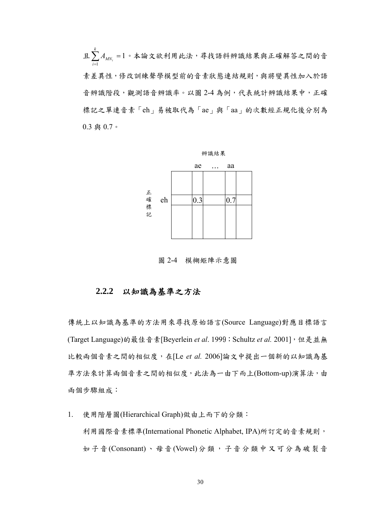$\mathop{\mathrm{\mathbb{E}}}\nolimits \sum_{i=1}^k A_{M N_i} =$  $\sum_{i=1} A_{MN_i}$ 1。本論文欲利用此法,尋找語料辨識結果與正確解答之間的音 素差異性,修改訓練聲學模型前的音素狀態連結規則,與將變異性加入於語 音辨識階段,觀測語音辨識率。以圖 2-4 為例,代表統計辨識結果中,正確 標記之單連音素「eh」易被取代為「ae」與「aa」的次數經正規化後分別為 0.3 與 0.7。



圖 2-4 模糊矩陣示意圖

#### **2.2.2** 以知識為基準之方法

傳統上以知識為基準的方法用來尋找原始語言(Source Language)對應目標語言 (Target Language)的最佳音素[Beyerlein et al. 1999; Schultz et al. 2001], 但是並無 比較兩個音素之間的相似度,在[Le *et al.* 2006]論文中提出一個新的以知識為基 準方法來計算兩個音素之間的相似度,此法為一由下而上(Bottom-up)演算法,由 兩個步驟組成:

1. 使用階層圖(Hierarchical Graph)做由上而下的分類: 利用國際音素標準(International Phonetic Alphabet, IPA)所訂定的音素規則, 如子音(Consonant)、母音(Vowel)分類,子音分類中又可分為破裂音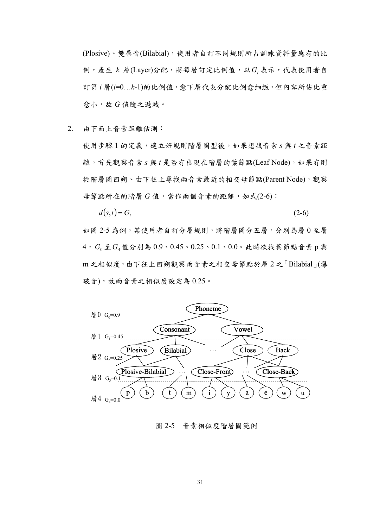(Plosive)、雙唇音(Bilabial),使用者自訂不同規則所占訓練資料量應有的比 例,產生 *k* 層(Layer)分配,將每層訂定比例值,以*Gi* 表示,代表使用者自 訂第 *i* 層(*i*=0…*k*-1)的比例值,愈下層代表分配比例愈細緻,但內容所佔比重 愈小,故 *G* 值隨之遞減。

2. 由下而上音素距離估測:

使用步驟 1 的定義,建立好規則階層圖型後,如果想找音素 *s* 與 *t* 之音素距 離,首先觀察音素 *s* 與 *t* 是否有出現在階層的葉節點(Leaf Node),如果有則 從階層圖回朔、由下往上尋找兩音素最近的相交母節點(Parent Node),觀察 母節點所在的階層 *G* 值,當作兩個音素的距離,如式(2-6):

$$
d(s,t) = G_i \tag{2-6}
$$

如圖 2-5 為例,某使用者自訂分層規則,將階層圖分五層,分別為層 0 至層 4,*G*<sup>0</sup> 至*G*<sup>4</sup> 值分別為 0.9、0.45、0.25、0.1、0.0。此時欲找葉節點音素 p 與 m 之相似度,由下往上回朔觀察兩音素之相交母節點於層 2 之「Bilabial」(爆 破音),故兩音素之相似度設定為 0.25。



圖 2-5 音素相似度階層圖範例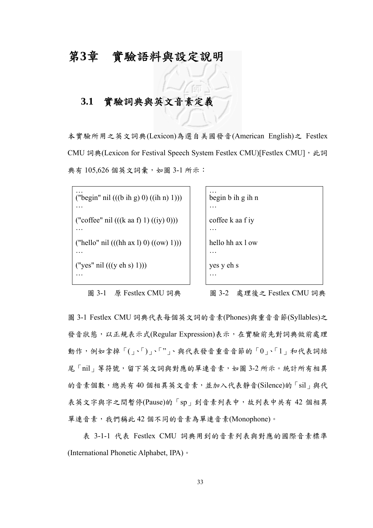# 第**3**章 實驗語料與設定說明

# **3.1** 實驗詞典與英文音素定義

本實驗所用之英文詞典(Lexicon)為選自美國發音(American English)之 Festlex CMU 詞典(Lexicon for Festival Speech System Festlex CMU)[Festlex CMU], 此詞 典有 105,626 個英文詞彙,如圖 3-1 所示:

… ("begin" nil (((b ih g) 0) ((ih n) 1))) …<br>… ("coffee" nil  $(((k \text{ aa } f) 1) ((iy) 0)))$ …<br>… ("hello" nil  $(((hh ax 1) 0) ((ow 1)))$ ("yes" nil (((y eh s) 1))) …

圖 3-1 原 Festlex CMU 詞典

… begin b ih g ih n … coffee k aa f iy … hello hh ax l ow … yes y eh s .<br>…

圖 3-2 處理後之 Festlex CMU 詞典

圖 3-1 Festlex CMU 詞典代表每個英文詞的音素(Phones)與重音音節(Syllables)之 發音狀態,以正規表示式(Regular Expression)表示,在實驗前先對詞典做前處理 動作,例如拿掉「(」、「)」、「"」、與代表發音重音音節的「0」、「1」和代表詞結 尾「nil」等符號,留下英文詞與對應的單連音素,如圖 3-2 所示。統計所有相異 的音素個數,總共有40個相異英文音素,並加入代表靜音(Silence)的「sil」與代 表英文字與字之間暫停(Pause)的「sp」到音素列表中,故列表中共有 42 個相異 單連音素,我們稱此 42 個不同的音素為單連音素(Monophone)。

 表 3-1-1 代表 Festlex CMU 詞典用到的音素列表與對應的國際音素標準 (International Phonetic Alphabet, IPA)。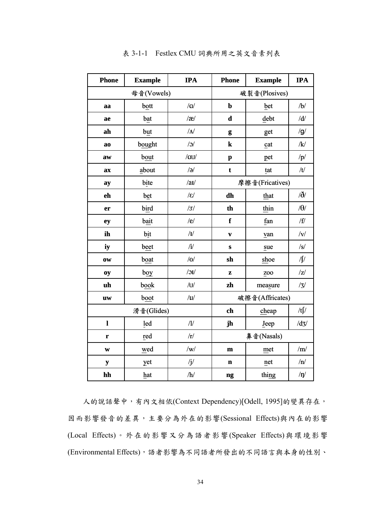| <b>Phone</b>             | <b>Example</b> | <b>IPA</b>         | <b>Phone</b>             | <b>Example</b>  | <b>IPA</b> |
|--------------------------|----------------|--------------------|--------------------------|-----------------|------------|
| 母音(Vowels)               |                |                    | 破裂音(Plosives)            |                 |            |
| aa                       | bott           | $/\alpha$          | $\mathbf b$              | bet             | /b/        |
| ae                       | bat            | $\frac{1}{\alpha}$ | $\mathbf d$              | debt            | /d/        |
| ah                       | but            | /N                 | g                        | get             | /g/        |
| ao                       | bought         | $\sqrt{c}$         | ${\bf k}$                | cat             | /k/        |
| aw                       | bout           | /au/               | $\mathbf{p}$             | pet             | /p/        |
| a <b>x</b>               | about          | $\sqrt{e}$         | $\mathbf t$              | tat             | /t/        |
| ay                       | bite           | /au/               | 摩擦音(Fricatives)          |                 |            |
| eh                       | bet            | $ \varepsilon $    | dh                       | that            | $\delta/$  |
| er                       | bird           | 3                  | th                       | thin            | $/\theta/$ |
| ey                       | bait           | /e/                | f                        | fan             | / $f/$     |
| ih                       | bit            | /I                 | $\overline{\mathbf{v}}$  | van             | v          |
| iy                       | beet           | $\mathbf{i}$       | $\bf S$                  | sue             | $\sqrt{s}$ |
| $\overline{\textbf{ow}}$ | boat           | /0/                | sh                       | shoe            | $\sqrt{ }$ |
| Oy                       | boy            | $\sqrt{C}$         | Z                        | ZO <sub>O</sub> | z          |
| uh                       | book           | /U                 | zh                       | measure         | /3/        |
| $\mathbf{u}\mathbf{w}$   | boot           | /u                 | 破擦音(Affricates)          |                 |            |
|                          | 滑音(Glides)     |                    | /t $\int$<br>ch<br>cheap |                 |            |
| $\mathbf{l}$             | led            | $\sqrt{}}$         | jh                       | Jeep            | /dz/       |
| $\mathbf{r}$             | red            | /r/                | 鼻音(Nasals)               |                 |            |
| W                        | wed            | /w/                | $\mathbf m$              | met             | /m/        |
| ${\bf y}$                | yet            | $\mathbf{j}/$      | $\mathbf n$              | net             | /n/        |
| hh                       | hat            | $/\hbar/$          | ng                       | thing           | $/\eta/$   |

表 3-1-1 Festlex CMU 詞典所用之英文音素列表

 人的說話聲中,有內文相依(Context Dependency)[Odell, 1995]的變異存在, 因而影響發音的差異,主要分為外在的影響(Sessional Effects)與內在的影響 (Local Effects)。外在的影響又分為語者影響(Speaker Effects)與環境影響 (Environmental Effects),語者影響為不同語者所發出的不同語言與本身的性別、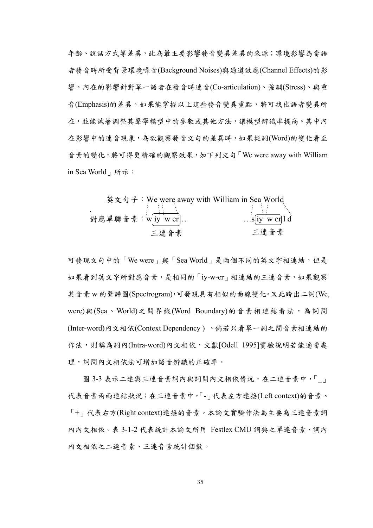年齡、說話方式等差異,此為最主要影響發音變異差異的來源;環境影響為當語 者發音時所受背景環境噪音(Background Noises)與通道效應(Channel Effects)的影 響。內在的影響針對單一語者在發音時連音(Co-articulation)、強調(Stress)、與重 音(Emphasis)的差異。如果能掌握以上這些發音變異重點,將可找出語者變異所 在,並能試著調整其聲學模型中的參數或其他方法,讓模型辨識率提高。其中內 在影響中的連音現象,為欲觀察發音文句的差異時,如果從詞(Word)的變化看至 音素的變化,將可得更精確的觀察效果,如下列文句「We were away with William in Sea World」所示:

英文句子 : We were away with William in Sea World

\n對應軍聯音素 : 
$$
w[iy] weer]
$$
.

\n三連音素

\n三連音素

\n三連音素

可發現文句中的「We were」與「Sea World」是兩個不同的英文字相連結,但是 如果看到英文字所對應音素,是相同的「iy-w-er」相連結的三連音素,如果觀察 其音素 w 的聲譜圖(Spectrogram),可發現具有相似的曲線變化。又此跨出二詞(We, were)與(Sea、World)之間界線(Word Boundary)的音素相連結看法,為詞間 (Inter-word)內文相依(Context Dependency ) 。倘若只看單一詞之間音素相連結的 作法,則稱為詞內(Intra-word)內文相依,文獻[Odell 1995]實驗說明若能適當處 理,詞間內文相依法可增加語音辨識的正確率。

圖 3-3 表示二連與三連音素詞內與詞間內文相依情況,在二連音素中,「」 代表音素兩兩連結狀況;在三連音素中,「-」代表左方連接(Left context)的音素、 「+」代表右方(Right context)連接的音素。本論文實驗作法為主要為三連音素詞 內內文相依。表 3-1-2 代表統計本論文所用 Festlex CMU 詞典之單連音素、詞內 內文相依之二連音素、三連音素統計個數。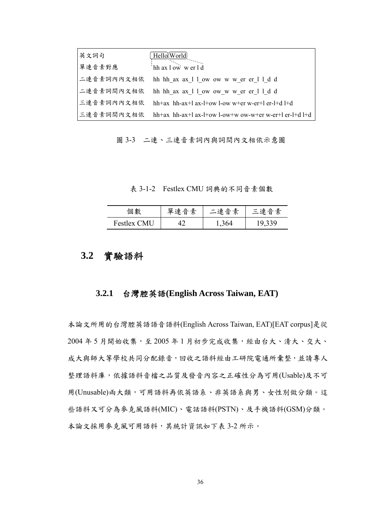| 英文詞句   | Hello World                                                        |
|--------|--------------------------------------------------------------------|
| 單連音素對應 | hh ax l ow w er l d                                                |
|        | 二連音素詞內內文相依 hh hh ax ax 1 1 ow ow w w er er 1 1 d d                 |
|        | 二連音素詞間內文相依 hh hh ax ax 1 l ow ow w w er er 1 l d d                 |
|        | 三連音素詞內內文相依 hh+ax hh-ax+l ax-l+ow l-ow w+er w-er+l er-l+d l+d       |
|        | 三連音素詞間內文相依  hh+ax hh-ax+l ax-l+ow l-ow+w ow-w+er w-er+l er-l+d l+d |

圖 3-3 二連、三連音素詞內與詞間內文相依示意圖

表 3-1-2 Festlex CMU 詞典的不同音素個數

| 個數                 | 留油<br>.音素 | 二連音素 | 三連音素 |
|--------------------|-----------|------|------|
| <b>Festlex CMU</b> |           | 364  |      |

## **3.2** 實驗語料

### **3.2.1** 台灣腔英語**(English Across Taiwan, EAT)**

本論文所用的台灣腔英語語音語料(English Across Taiwan, EAT)[EAT corpus]是從 2004年5月開始收集,至2005年1月初步完成收集,經由台大、清大、交大、 成大與師大等學校共同分配錄音,回收之語料經由工研院電通所彙整,並請專人 整理語料庫,依據語料音檔之品質及發音內容之正確性分為可用(Usable)及不可 用(Unusable)兩大類,可用語料再依英語系、非英語系與男、女性別做分類。這 些語料又可分為麥克風語料(MIC)、電話語料(PSTN)、及手機語料(GSM)分類。 本論文採用麥克風可用語料,其統計資訊如下表 3-2 所示。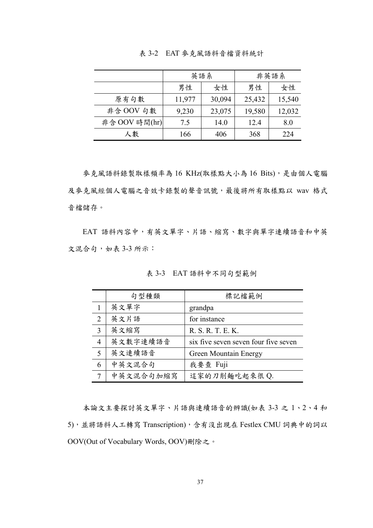|               | 英語系    |        | 非英語系   |        |
|---------------|--------|--------|--------|--------|
|               | 男性     | 女性     | 男性     | 女性     |
| 原有句數          | 11,977 | 30,094 | 25,432 | 15,540 |
| 非含 OOV 句數     | 9,230  | 23,075 | 19,580 | 12,032 |
| 非含 OOV 時間(hr) | 7.5    | 14.0   | 12.4   | 8.0    |
| 人數            | 166    | 406    | 368    | 224    |

表 3-2 EAT 麥克風語料音檔資料統計

參克風語料錄製取樣頻率為 16 KHz(取樣點大小為 16 Bits),是由個人電腦 及麥克風經個人電腦之音效卡錄製的聲音訊號,最後將所有取樣點以 wav 格式 音檔儲存。

 EAT 語料內容中,有英文單字、片語、縮寫、數字與單字連續語音和中英 文混合句,如表 3-3 所示:

|                | 句型種類      | 標記檔範例                                |
|----------------|-----------|--------------------------------------|
|                | 英文單字      | grandpa                              |
| $\overline{2}$ | 英文片語      | for instance                         |
| 3              | 英文縮寫      | R. S. R. T. E. K.                    |
| $\overline{4}$ | 英文數字連續語音  | six five seven seven four five seven |
| 5              | 英文連續語音    | <b>Green Mountain Energy</b>         |
| 6              | 中英文混合句    | 我要查 Fuji                             |
|                | 中英文混合句加缩寫 | 這家的刀削麵吃起來很 Q.                        |

表 3-3 EAT 語料中不同句型範例

 本論文主要探討英文單字、片語與連續語音的辨識(如表 3-3 之 1、2、4 和 5),並將語料人工轉寫 Transcription),含有沒出現在 Festlex CMU 詞典中的詞以 OOV(Out of Vocabulary Words, OOV)刪除之。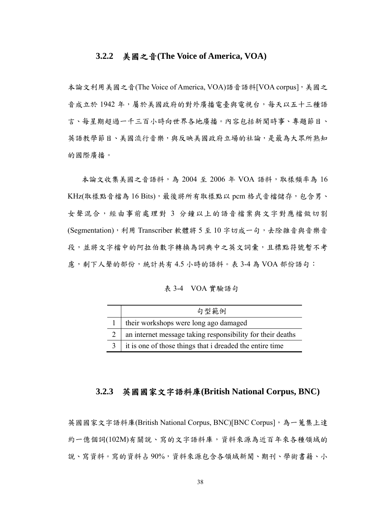#### **3.2.2** 美國之音**(The Voice of America, VOA)**

本論文利用美國之音(The Voice of America, VOA)語音語料[VOA corpus],美國之 音成立於1942年,屬於美國政府的對外廣播電臺與電視台,每天以五十三種語 言、每星期超過一千三百小時向世界各地廣播。內容包括新聞時事、專題節目、 英語教學節目、美國流行音樂,與反映美國政府立場的社論,是最為大眾所熟知 的國際廣播。

 本論文收集美國之音語料,為 2004 至 2006 年 VOA 語料,取樣頻率為 16 KHz(取樣點音檔為 16 Bits),最後將所有取樣點以 pcm 格式音檔儲存,包含男、 女聲混合,經由事前處理對 3 分鐘以上的語音檔案與文字對應檔做切割 (Segmentation),利用 Transcriber 軟體將 5 至 10 字切成一句,去除雜音與音樂音 段,並將文字檔中的阿拉伯數字轉換為詞典中之英文詞彙,且標點符號暫不考 慮,剩下人聲的部份,統計共有 4.5 小時的語料。表 3-4 為 VOA 部份語句:

表 3-4 VOA 實驗語句

| 句型範例                                                       |
|------------------------------------------------------------|
| their workshops were long ago damaged                      |
| an internet message taking responsibility for their deaths |
| it is one of those things that i dreaded the entire time   |

#### **3.2.3** 英國國家文字語料庫**(British National Corpus, BNC)**

英國國家文字語料庫(British National Corpus, BNC)[BNC Corpus],為一蒐集上達 約一億個詞(102M)有關說、寫的文字語料庫,資料來源為近百年來各種領域的 說、寫資料。寫的資料占90%,資料來源包含各領域新聞、期刊、學術書籍、小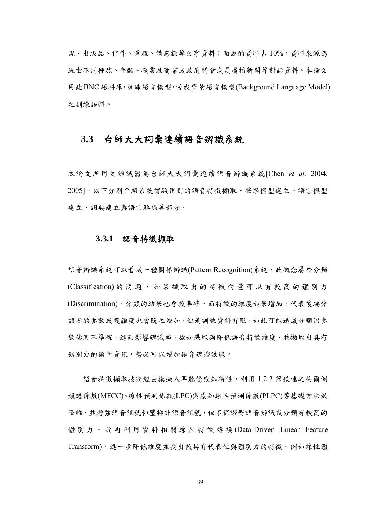說、出版品、信件、章程、備忘錄等文字資料;而說的資料占 10%,資料來源為 經由不同種族、年齡、職業及商業或政府開會或是廣播新聞等對話資料。本論文 用此BNC語料庫,訓練語言模型,當成背景語言模型(Background Language Model) 之訓練語料。

### **3.3** 台師大大詞彙連續語音辨識系統

本論文所用之辨識器為台師大大詞彙連續語音辨識系統[Chen *et al.* 2004, 2005],以下分別介紹系統實驗用到的語音特徵擷取、聲學模型建立、語言模型 建立、詞典建立與語言解碼等部分。

#### **3.3.1** 語音特徵擷取

語音辨識系統可以看成一種圖樣辨識(Pattern Recognition)系統,此概念屬於分類 (Classification) 的問題,如果擷取出的特徵向量可以有較高的鑑別力 (Discrimination),分類的結果也會較準確。而特徵的維度如果增加,代表後端分 類器的參數或複雜度也會隨之增加,但是訓練資料有限,如此可能造成分類器參 數估測不準確,進而影響辨識率,故如果能夠降低語音特徵維度,並擷取出具有 鑑別力的語音資訊,勢必可以增加語音辨識效能。

 語音特徵擷取技術經由模擬人耳聽覺感知特性,利用 1.2.2 節敘述之梅爾倒 頻譜係數(MFCC)、線性預測係數(LPC)與感知線性預測係數(PLPC)等基礎方法做 降維、並增強語音訊號和非語音訊號,但不保證對語音辨識或分類有較高的 鑑別力。故再利用資料相關線性特徵轉換 (Data-Driven Linear Feature Transform),進一步降低維度並找出較具有代表性與鑑別力的特徵。例如線性鑑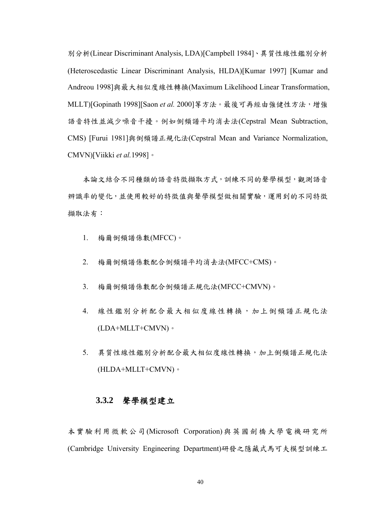別分析(Linear Discriminant Analysis, LDA)[Campbell 1984]、異質性線性鑑別分析 (Heteroscedastic Linear Discriminant Analysis, HLDA)[Kumar 1997] [Kumar and Andreou 1998]與最大相似度線性轉換(Maximum Likelihood Linear Transformation, MLLT)[Gopinath 1998][Saon *et al.* 2000]等方法。最後可再經由強健性方法,增強 語音特性並減少噪音干擾。例如倒頻譜平均消去法(Cepstral Mean Subtraction, CMS) [Furui 1981]與倒頻譜正規化法(Cepstral Mean and Variance Normalization, CMVN)[Viikki *et al.*1998]。

本論文結合不同種類的語音特徵擷取方式,訓練不同的聲學模型,觀測語音 辨識率的變化,並使用較好的特徵值與聲學模型做相關實驗,運用到的不同特徵 擷取法有:

- 1. 梅爾倒頻譜係數(MFCC)。
- 2. 梅爾倒頻譜係數配合倒頻譜平均消去法(MFCC+CMS)。
- 3. 梅爾倒頻譜係數配合倒頻譜正規化法(MFCC+CMVN)。
- 4. 線性鑑別分析配合最大相似度線性轉換,加上倒頻譜正規化法 (LDA+MLLT+CMVN)。
- 5. 異質性線性鑑別分析配合最大相似度線性轉換,加上倒頻譜正規化法 (HLDA+MLLT+CMVN)。

#### **3.3.2** 聲學模型建立

本實驗利用微軟公司(Microsoft Corporation)與英國劍橋大學電機研究所 (Cambridge University Engineering Department)研發之隱藏式馬可夫模型訓練工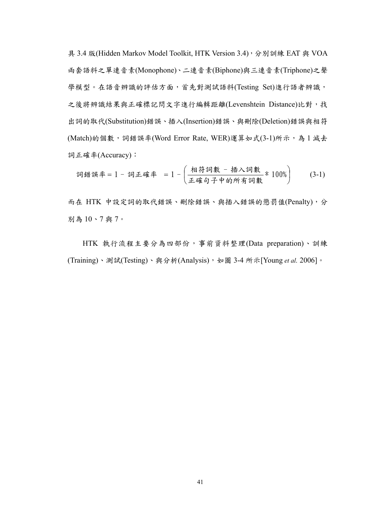具 3.4 版(Hidden Markov Model Toolkit, HTK Version 3.4), 分別訓練 EAT 與 VOA 兩套語料之單連音素(Monophone)、二連音素(Biphone)與三連音素(Triphone)之聲 學模型。在語音辨識的評估方面,首先對測試語料(Testing Set)進行語者辨識, 之後將辨識結果與正確標記問文字進行編輯距離(Levenshtein Distance)比對,找 出詞的取代(Substitution)錯誤、插入(Insertion)錯誤、與刪除(Deletion)錯誤與相符 (Match)的個數,詞錯誤率(Word Error Rate, WER)運算如式(3-1)所示,為1減去 詞正確率(Accuracy):

詞і\n 靜第率 = 1 - 17 \n 
$$
\overline{1} = \left( \frac{\overline{1} + \overline{1} + \overline{1} + \overline{1} + \overline{1} + \overline{1} + \overline{1} + \overline{1} + \overline{1} + \overline{1} + \overline{1} + \overline{1} + \overline{1} + \overline{1} + \overline{1} + \overline{1} + \overline{1} + \overline{1} + \overline{1} + \overline{1} + \overline{1} + \overline{1} + \overline{1} + \overline{1} + \overline{1} + \overline{1} + \overline{1} + \overline{1} + \overline{1} + \overline{1} + \overline{1} + \overline{1} + \overline{1} + \overline{1} + \overline{1} + \overline{1} + \overline{1} + \overline{1} + \overline{1} + \overline{1} + \overline{1} + \overline{1} + \overline{1} + \overline{1} + \overline{1} + \overline{1} + \overline{1} + \overline{1} + \overline{1} + \overline{1} + \overline{1} + \overline{1} + \overline{1} + \overline{1} + \overline{1} + \overline{1} + \overline{1} + \overline{1} + \overline{1} + \overline{1} + \overline{1} + \overline{1} + \overline{1} + \overline{1} + \overline{1} + \overline{1} + \overline{1} + \overline{1} + \overline{1} + \overline{1} + \overline{1} + \overline{1} + \overline{1} + \overline{1} + \overline{1} + \overline{1} + \overline{1} + \overline{1} + \overline{1} + \overline{1} + \overline{1} + \overline{1} + \overline{1} + \overline{1} + \overline{1} + \overline{1} + \overline{1} + \overline{1} + \overline{1} + \overline{1} + \overline{1} + \overline{1} + \overline{1} + \overline{1} + \overline{1} + \overline{1} + \overline{1} + \overline{1} + \overline{1} + \overline{1} + \overline{1} + \overline{1} + \overline{1} + \overline{1
$$

而在 HTK 中設定詞的取代錯誤、刪除錯誤、與插入錯誤的懲罰值(Penalty),分 別為 10、7 與 7。

HTK 執行流程主要分為四部份,事前資料整理(Data preparation)、訓練 (Training)、測試(Testing)、與分析(Analysis),如圖 3-4 所示[Young *et al.* 2006]。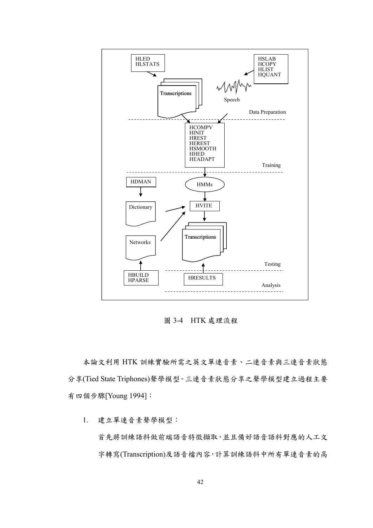

圖 3-4 HTK 處理流程

本論文利用 HTK 訓練實驗所需之英文單連音素、二連音素與三連音素狀態 分享(Tied State Triphones)聲學模型。三連音素狀態分享之聲學模型建立過程主要 有四個步驟[Young 1994]:

1. 建立單連音素聲學模型:

首先將訓練語料做前端語音特徵擷取,並且備好語音語料對應的人工文 字轉寫(Transcription)及語音檔內容,計算訓練語料中所有單連音素的高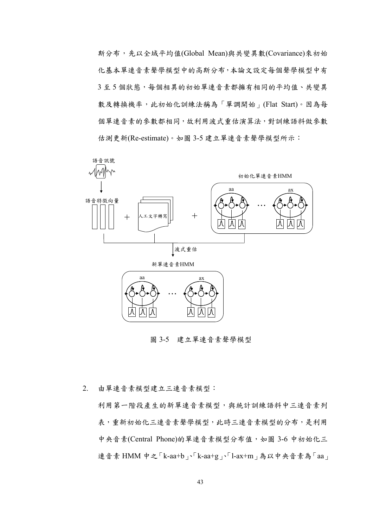斯分布,先以全域平均值(Global Mean)與共變異數(Covariance)來初始 化基本單連音素聲學模型中的高斯分布,本論文設定每個聲學模型中有 3至5個狀態,每個相異的初始單連音素都擁有相同的平均值、共變異 數及轉換機率,此初始化訓練法稱為「單調開始」(Flat Start)。因為每 個單連音素的參數都相同,故利用波式重估演算法,對訓練語料做參數 估測更新(Re-estimate)。如圖 3-5 建立單連音素聲學模型所示:



圖 3-5 建立單連音素聲學模型

2. 由單連音素模型建立三連音素模型:

利用第一階段產生的新單連音素模型,與統計訓練語料中三連音素列 表,重新初始化三連音素聲學模型,此時三連音素模型的分布,是利用 中央音素(Central Phone)的單連音素模型分布值,如圖 3-6 中初始化三 連音素 HMM 中之「k-aa+b」、「k-aa+g」、「l-ax+m」為以中央音素為「aa」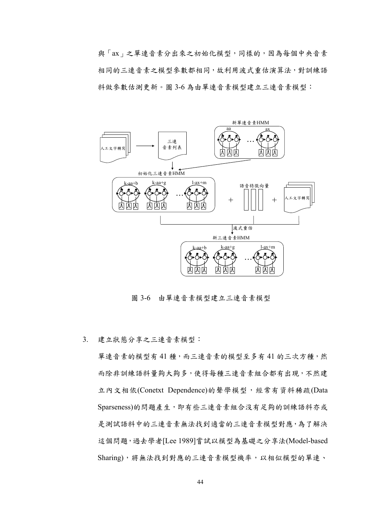與「ax」之單連音素分出來之初始化模型,同樣的,因為每個中央音素 相同的三連音素之模型參數都相同,故利用波式重估演算法,對訓練語 料做參數估測更新。圖 3-6 為由單連音素模型建立三連音素模型:



圖 3-6 由單連音素模型建立三連音素模型

3. 建立狀態分享之三連音素模型:

單連音素的模型有41種,而三連音素的模型至多有41的三次方種,然 而除非訓練語料量夠大夠多,使得每種三連音素組合都有出現,不然建 立內文相依(Conetxt Dependence)的聲學模型,經常有資料稀疏(Data Sparseness)的問題產生,即有些三連音素組合沒有足夠的訓練語料亦或 是測試語料中的三連音素無法找到適當的三連音素模型對應,為了解決 這個問題,過去學者[Lee 1989]嘗試以模型為基礎之分享法(Model-based Sharing),將無法找到對應的三連音素模型機率,以相似模型的單連、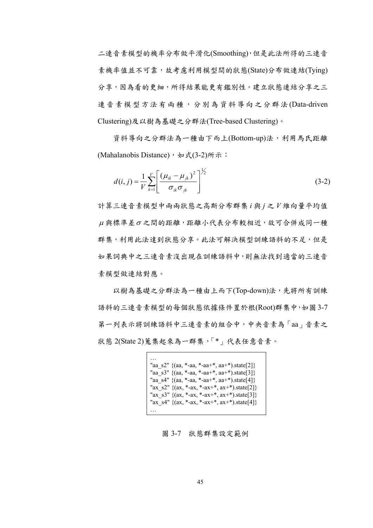二連音素模型的機率分布做平滑化(Smoothing),但是此法所得的三連音 素機率值並不可靠,故考慮利用模型間的狀態(State)分布做連結(Tying) 分享,因為看的更細,所得結果能更有鑑別性。建立狀態連結分享之三 連音素模型方法有兩種,分別為資料導向之分群法(Data-driven Clustering)及以樹為基礎之分群法(Tree-based Clustering)。

 資料導向之分群法為ㄧ種由下而上(Bottom-up)法,利用馬氏距離 (Mahalanobis Distance), 如式(3-2)所示:

$$
d(i, j) = \frac{1}{V} \sum_{k=1}^{V} \left[ \frac{(\mu_{ik} - \mu_{jk})^2}{\sigma_{ik} \sigma_{jk}} \right]^{1/2}
$$
(3-2)

計算三連音素模型中兩兩狀態之高斯分布群集 *i* 與 *j* 之 *V* 維向量平均值  $\mu$ 與標準差 $\sigma$ 之間的距離,距離小代表分布較相近,故可合併成同一種 群集,利用此法達到狀態分享。此法可解決模型訓練語料的不足,但是 如果詞典中之三連音素沒出現在訓練語料中,則無法找到適當的三連音 素模型做連結對應。

以樹為基礎之分群法為一種由上而下(Top-down)法,先將所有訓練 語料的三連音素模型的每個狀態依據條件置於根(Root)群集中,如圖3-7 第一列表示將訓練語料中三連音素的組合中,中央音素為「aa」音素之 狀態 2(State 2)蒐集起來為一群集,「\*」代表任意音素。

```
…
"aa_s2" {(aa, *-aa, *-aa+*, aa+*)}.state[2]"aa_s3" \{(aa, *-aa, *-aa+*, aa+*)\text{.state}[3]\}"aa_s4" {(aa, *-aa, *-aa+*, aa+*).state[4]}
"ax_s2" \{(ax, *-ax, *-ax+*, ax+*)\text{.state}[2]\}"ax_s3" \{(ax, *-ax, *-ax+*, ax+*)\text{.state}[3]\}"ax_s4" \{(ax, *-ax, *-ax+*, ax+*)\text{.state}[4]\}…
```
圖 3-7 狀態群集設定範例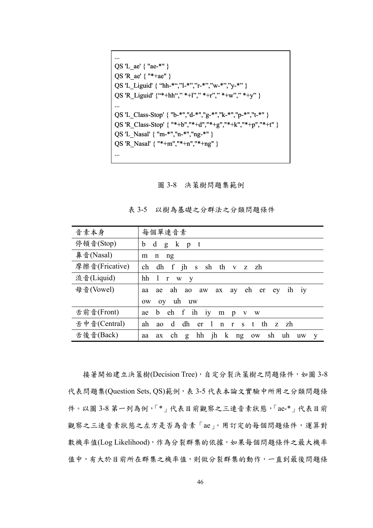```
...
QS 'L ae' { "ae-*" }
QS 'R_ae' { "*+ae" }
QS 'L_Liguid' { "hh-*","l-*","r-*","w-*","y-*" }
QS 'R_Liguid' {"*+hh"," *+l"," *+r"," *+w"," *+y" }
...
QS 'L_Class-Stop' { "b-*","d-*","g-*","k-*","p-*","t-*" }
QS 'R_Class-Stop' { "*+b","*+d","*+g","*+k","*+p","*+t" }
QS 'L_Nasal' { "m-*","n-*","ng-*" }
QS 'R_Nasal' { "*+m","*+n","*+ng" }
...
```
圖 3-8 決策樹問題集範例

| 音素本身           | 每個單連音素                                                                          |
|----------------|---------------------------------------------------------------------------------|
| 停頓音(Stop)      | $\mathbf d$<br>k pt<br>b<br>g                                                   |
| 鼻音(Nasal)      | m<br>n<br>ng                                                                    |
| 摩擦音(Fricative) | dh f jh s sh th v z zh<br>ch                                                    |
| 流音(Liquid)     | hh<br>-1<br>$\mathbf{r}$<br>W<br><b>V</b>                                       |
| 母音(Vowel)      | eh er<br>ae ah ao<br>ih iy<br>aw<br>ax<br>ay<br>ev<br>aa                        |
|                | uh uw<br>oy<br><b>OW</b>                                                        |
| 舌前音(Front)     | f<br>ih iy<br>eh<br>b<br>ae<br>m<br>$\mathbf{p}$<br>V W                         |
| 舌中音(Central)   | dh<br>$1$ n r s t<br>th<br>ah<br>d<br>z zh<br>er<br>a <sub>0</sub>              |
| 舌後音(Back)      | hh jh<br>k ng<br>sh<br>ch<br>uh<br>g<br><b>OW</b><br>ax<br><b>uw</b><br>aa<br>V |

表 3-5 以樹為基礎之分群法之分類問題條件

接著開始建立決策樹(Decision Tree),自定分裂決策樹之問題條件,如圖 3-8 代表問題集(Question Sets, QS)範例,表 3-5 代表本論文實驗中所用之分類問題條 件。以圖 3-8 第一列為例,「\*」代表目前觀察之三連音素狀態,「ae-\*」代表目前 觀察之三連音素狀態之左方是否為音素「ae」。用訂定的每個問題條件,運算對 數機率值(Log Likelihood),作為分裂群集的依據,如果每個問題條件之最大機率 值中,有大於目前所在群集之機率值,則做分裂群集的動作,一直到最後問題條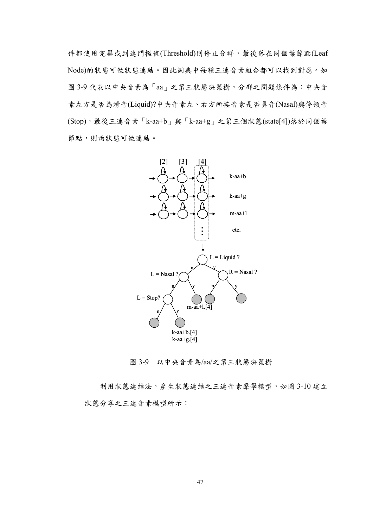件都使用完畢或到達門檻值(Threshold)則停止分群,最後落在同個葉節點(Leaf Node)的狀態可做狀態連結。因此詞典中每種三連音素組合都可以找到對應。如 圖 3-9 代表以中央音素為「aa」之第三狀態決策樹,分群之問題條件為:中央音 素左方是否為滑音(Liquid)?中央音素左、右方所接音素是否鼻音(Nasal)與停頓音 (Stop),最後三連音素「k-aa+b」與「k-aa+g」之第三個狀態(state[4])落於同個葉 節點,則兩狀態可做連結。



圖 3-9 以中央音素為/aa/之第三狀態決策樹

利用狀態連結法,產生狀態連結之三連音素聲學模型,如圖 3-10 建立 狀態分享之三連音素模型所示: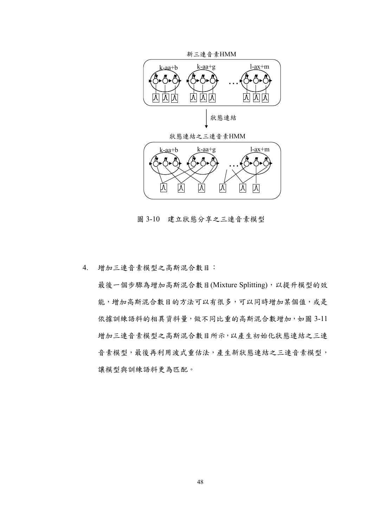

圖 3-10 建立狀態分享之三連音素模型

4. 增加三連音素模型之高斯混合數目:

最後一個步驟為增加高斯混合數目(Mixture Splitting),以提升模型的效 能,增加高斯混合數目的方法可以有很多,可以同時增加某個值,或是 依據訓練語料的相異資料量,做不同比重的高斯混合數增加,如圖 3-11 增加三連音素模型之高斯混合數目所示,以產生初始化狀態連結之三連 音素模型,最後再利用波式重估法,產生新狀態連結之三連音素模型, 讓模型與訓練語料更為匹配。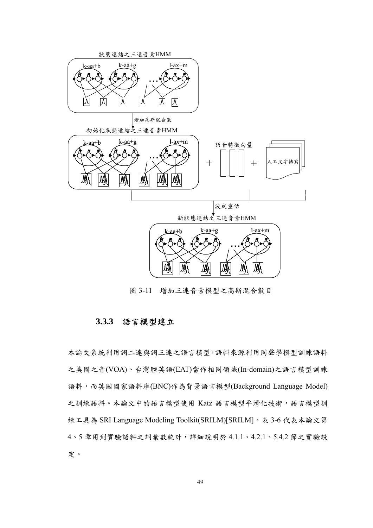

圖 3-11 增加三連音素模型之高斯混合數目

#### **3.3.3** 語言模型建立

本論文系統利用詞二連與詞三連之語言模型,語料來源利用同聲學模型訓練語料 之美國之音(VOA)、台灣腔英語(EAT)當作相同領域(In-domain)之語言模型訓練 語料,而英國國家語料庫(BNC)作為背景語言模型(Background Language Model) 之訓練語料。本論文中的語言模型使用 Katz 語言模型平滑化技術,語言模型訓 練工具為 SRI Language Modeling Toolkit(SRILM)[SRILM]。表 3-6 代表本論文第 4、5 章用到實驗語料之詞彙數統計,詳細說明於 4.1.1、4.2.1、5.4.2 節之實驗設 定。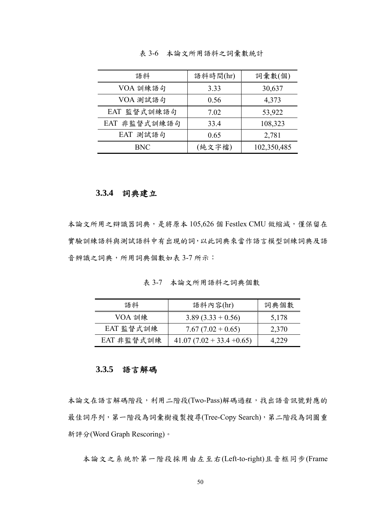| 語料           | 語料時間(hr) | 詞彙數(個)      |
|--------------|----------|-------------|
| VOA 訓練語句     | 3.33     | 30,637      |
| VOA 測試語句     | 0.56     | 4,373       |
| EAT 監督式訓練語句  | 7.02     | 53,922      |
| EAT 非監督式訓練語句 | 33.4     | 108,323     |
| EAT 測試語句     | 0.65     | 2,781       |
| BNC          | (純文字檔)   | 102,350,485 |

表 3-6 本論文所用語料之詞彙數統計

#### **3.3.4** 詞典建立

本論文所用之辯識器詞典,是將原本 105,626 個 Festlex CMU 做縮減,僅保留在 實驗訓練語料與試語料中有出現的詞,以此詞典來當作語言模型訓練詞典及語 音辨識之詞典,所用詞典個數如表 3-7 所示:

表 3-7 本論文所用語料之詞典個數

| 語料         | 語料內容(hr)                    | 詞典個數  |
|------------|-----------------------------|-------|
| VOA 訓練     | $3.89(3.33 + 0.56)$         | 5,178 |
| EAT 監督式訓練  | $7.67(7.02+0.65)$           | 2,370 |
| EAT 非監督式訓練 | $41.07(7.02 + 33.4 + 0.65)$ | 4,229 |

# **3.3.5** 語言解碼

本論文在語言解碼階段,利用二階段(Two-Pass)解碼過程,找出語音訊號對應的 最佳詞序列,第一階段為詞彙樹複製搜尋(Tree-Copy Search),第二階段為詞圖重 新評分(Word Graph Rescoring)。

本論文之系統於第一階段採用由左至右(Left-to-right)且音框同步(Frame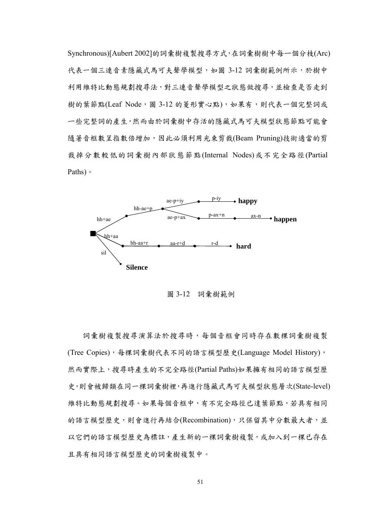Synchronous)[Aubert 2002]的詞彙樹複製搜尋方式,在詞彙樹樹中每ㄧ個分枝(Arc) 代表一個三連音素隱藏式馬可夫聲學模型,如圖 3-12 詞彙樹範例所示,於樹中 利用維特比動態規劃搜尋法,對三連音聲學模型之狀態做搜尋,並檢查是否走到 樹的葉節點(Leaf Node, 圖 3-12 的菱形實心點),如果有,則代表一個完整詞或 ㄧ些完整詞的產生,然而由於詞彙樹中存活的隱藏式馬可夫模型狀態節點可能會 隨著音框數呈指數倍增加,因此必須利用光束剪裁(Beam Pruning)技術適當的剪 裁掉分數較低的詞彙樹內部狀態節點(Internal Nodes)或不完全路徑(Partial Paths)。



圖 3-12 詞彙樹範例

詞彙樹複製搜尋演算法於搜尋時,每個音框會同時存在數棵詞彙樹複製 (Tree Copies), 每棵詞彙樹代表不同的語言模型歷史(Language Model History), 然而實際上,搜尋時產生的不完全路徑(Partial Paths)如果擁有相同的語言模型歷 史,則會被歸類在同一棵詞彙樹裡,再進行隱藏式馬可夫模型狀態層次(State-level) 維特比動態規劃搜尋。如果每個音框中,有不完全路徑已達葉節點,若具有相同 的語言模型歷史,則會進行再結合(Recombination),只保留其中分數最大者,並 以它們的語言模型歷史為標註,產生新的一棵詞彙樹複製,或加入到一棵已存在 且具有相同語言模型歷史的詞彙樹複製中。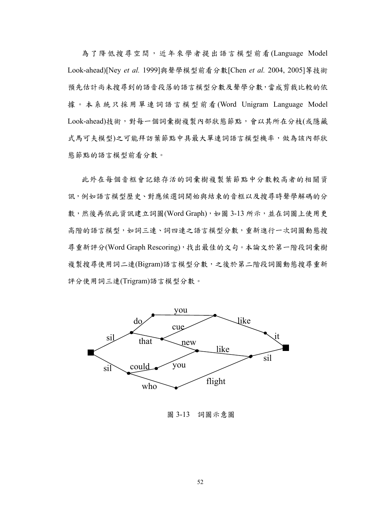為了降低搜尋空間,近年來學者提出語言模型前看(Language Model Look-ahead)[Ney *et al.* 1999]與聲學模型前看分數[Chen *et al.* 2004, 2005]等技術 預先估計尚未搜尋到的語音段落的語言模型分數及聲學分數,當成剪裁比較的依 據。本系統只採用單連詞語言模型前看 (Word Unigram Language Model Look-ahead)技術,對每一個詞彙樹複製內部狀態節點,會以其所在分枝(或隱藏 式馬可夫模型)之可能拜訪葉節點中具最大單連詞語言模型機率,做為該內部狀 態節點的語言模型前看分數。

此外在每個音框會記錄存活的詞彙樹複製葉節點中分數較高者的相關資 訊,例如語言模型歷史、對應候選詞開始與結束的音框以及搜尋時聲學解碼的分 數,然後再依此資訊建立詞圖(Word Graph),如圖 3-13 所示,並在詞圖上使用更 高階的語言模型,如詞三連、詞四連之語言模型分數,重新進行一次詞圖動態搜 尋重新評分(Word Graph Rescoring),找出最佳的文句。本論文於第一階段詞彙樹 複製搜尋使用詞二連(Bigram)語言模型分數,之後於第二階段詞圖動態搜尋重新 評分使用詞三連(Trigram)語言模型分數。



圖 3-13 詞圖示意圖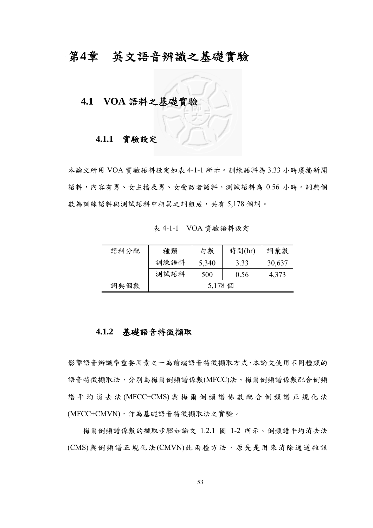# 第**4**章 英文語音辨識之基礎實驗

### **4.1 VOA** 語料之基礎實驗

#### **4.1.1** 實驗設定

本論文所用 VOA 實驗語料設定如表 4-1-1 所示。訓練語料為 3.33 小時廣播新聞 語料,內容有男、女主播及男、女受訪者語料。測試語料為 0.56 小時。詞典個 數為訓練語料與測試語料中相異之詞組成,共有 5,178 個詞。

表 4-1-1 VOA 實驗語料設定

| 語料分配 | 種類   | 句數      | 時間(hr) | 詞彙數    |
|------|------|---------|--------|--------|
|      | 訓練語料 | 5,340   | 3.33   | 30,637 |
|      | 測試語料 | 500     | 0.56   | 4,373  |
| 詞典個數 |      | 5,178 個 |        |        |

#### **4.1.2** 基礎語音特徵擷取

影響語音辨識率重要因素之一為前端語音特徵擷取方式,本論文使用不同種類的 語音特徵擷取法,分別為梅爾倒頻譜係數(MFCC)法、梅爾倒頻譜係數配合倒頻 譜平均消去法 (MFCC+CMS) 與梅爾倒頻譜係數配合倒頻譜正規化法 (MFCC+CMVN),作為基礎語音特徵擷取法之實驗。

 梅爾倒頻譜係數的擷取步驟如論文 1.2.1 圖 1-2 所示。倒頻譜平均消去法 (CMS)與倒頻譜正規化法(CMVN)此兩種方法,原先是用來消除通道雜訊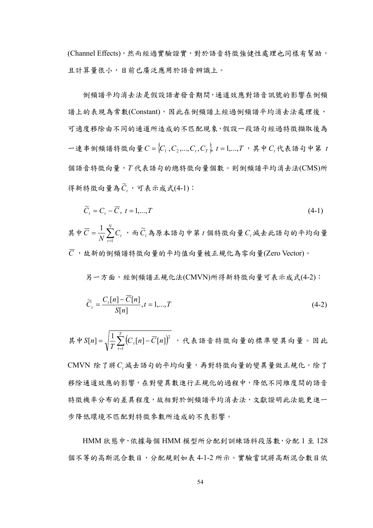(Channel Effects),然而經過實驗證實,對於語音特徵強健性處理也同樣有幫助, 且計算量很小,目前已廣泛應用於語音辨識上。

 倒頻譜平均消去法是假設語者發音期間,通道效應對語音訊號的影響在倒頻 譜上的表現為常數(Constant),因此在倒頻譜上經過倒頻譜平均消去法處理後, 可適度移除由不同的通道所造成的不匹配現象,假設一段語句經過特徵擷取後為 一連串倒頻譜特徵向量 $C = \{C_1, C_2, ..., C_t, C_r\}$   $t = 1, ..., T$ , 其中*C*, 代表語句中第 *t* 個語音特徵向量,*T* 代表語句的總特徵向量個數。則倒頻譜平均消去法(CMS)所 得新特徵向量為 $\widetilde{C}_t$ , 可表示成式(4-1):

$$
\widetilde{C}_t = C_t - \overline{C}, \ t = 1, \dots, T \tag{4-1}
$$

其中 $\overline{C} = \frac{1}{N} \sum_{t=1}^{N}$  $C = \frac{1}{N} \sum_{t=1}^{N} C_t$ 1  $\frac{1}{N} \sum_{t}^{N} C_{t}$ ,而 $\widetilde{C}_{t}$ 為原本語句中第  $t$  個特徵向量 $C_{t}$ 減去此語句的平均向量  $\overline{C}$ ,故新的倒頻譜特徵向量的平均值向量被正規化為零向量(Zero Vector)。

另一方面,經倒頻譜正規化法(CMVN)所得新特徵向量可表示成式(4-2):

$$
\widetilde{C}_t = \frac{C_t[n] - \overline{C}[n]}{S[n]}, t = 1, \dots, T
$$
\n(4-2)

 $=\sqrt{\frac{1}{T}\sum_{t=1}^{T}\left(C_t[n] - \overline{C}[n]\right)}$ *t*  $\frac{1}{T}\sum_{t=1}^{T} (C_{t}[n] - C[n])$ *S n* 1 其中 $S[n] = \sqrt{\frac{1}{m}} \sum_{i=1}^{T} (C_{i}[n] - \overline{C}[n])^{2}$ , 代表語音特徵向量的標準變異向量。因此 CMVN 除了將C,減去語句的平均向量,再對特徵向量的變異量做正規化。除了 移除通道效應的影響,在對變異數進行正規化的過程中,降低不同維度間的語音 特徵機率分布的差異程度,故相對於倒頻譜平均消去法,文獻證明此法能更進一

HMM 狀態中,依據每個 HMM 模型所分配到訓練語料段落數,分配 1 至 128 個不等的高斯混合數目,分配規則如表 4-1-2 所示。實驗嘗試將高斯混合數目依

步降低環境不匹配對特徵參數所造成的不良影響。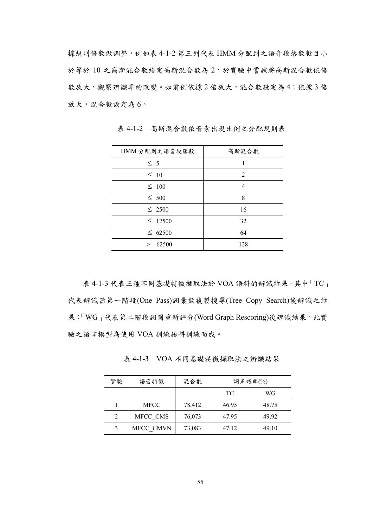據規則倍數做調整,例如表 4-1-2 第三列代表 HMM 分配到之語音段落數數目小 於等於 10 之高斯混合數給定高斯混合數為 2,於實驗中嘗試將高斯混合數依倍 數放大,觀察辨識率的改變。如前例依據2倍放大,混合數設定為4;依據3倍 放大,混合數設定為 6。

| HMM 分配到之語音段落數     | 高斯混合數 |
|-------------------|-------|
| $\leq 5$          |       |
| $\leq 10$         | 2     |
| $\leq 100$        | 4     |
| $\leq 500$        | 8     |
| $\leq 2500$       | 16    |
| $\leq$ 12500      | 32    |
| $\leq 62500$      | 64    |
| 62500<br>$\rm{>}$ | 128   |

表 4-1-2 高斯混合數依音素出現比例之分配規則表

表 4-1-3 代表三種不同基礎特徵擷取法於 VOA 語料的辨識結果, 其中「TC」 代表辨識器第一階段(One Pass)詞彙數複製搜尋(Tree Copy Search)後辨識之結 果;「WG」代表第二階段詞圖重新評分(Word Graph Rescoring)後辨識結果。此實 驗之語言模型為使用 VOA 訓練語料訓練而成。

表 4-1-3 VOA 不同基礎特徵擷取法之辨識結果

| 實驗            | 語音特徵        | 混合數    | 詞正確率 $(\%)$ |       |
|---------------|-------------|--------|-------------|-------|
|               |             |        | TC          | WG    |
|               | <b>MFCC</b> | 78,412 | 46.95       | 48.75 |
| $\mathcal{D}$ | MFCC CMS    | 76,073 | 47.95       | 49.92 |
| 3             | MFCC CMVN   | 73,083 | 47.12       | 49.10 |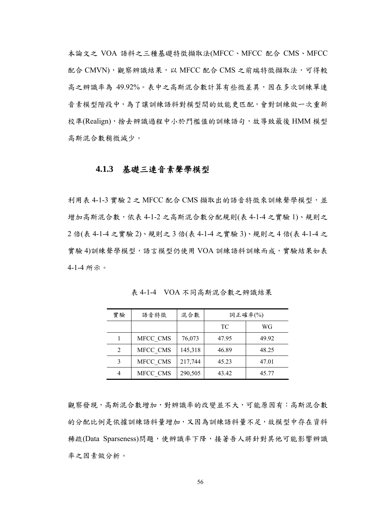本論文之 VOA 語料之三種基礎特徵擷取法(MFCC、MFCC 配合 CMS、MFCC 配合 CMVN), 觀察辨識結果, 以 MFCC 配合 CMS 之前端特徵擷取法, 可得較 高之辨識率為 49.92%。表中之高斯混合數計算有些微差異,因在多次訓練單連 音素模型階段中,為了讓訓練語料對模型間的效能更匹配,會對訓練做一次重新 校準(Realign),捨去辨識過程中小於門檻值的訓練語句,故導致最後 HMM 模型 高斯混合數稍微減少。

#### **4.1.3** 基礎三連音素聲學模型

利用表 4-1-3 實驗 2 之 MFCC 配合 CMS 擷取出的語音特徵來訓練聲學模型,並 增加高斯混合數,依表 4-1-2 之高斯混合數分配規則(表 4-1-4 之實驗 1)、規則之 2 倍(表 4-1-4 之實驗 2)、規則之 3 倍(表 4-1-4 之實驗 3)、規則之 4 倍(表 4-1-4 之 實驗 4)訓練聲學模型,語言模型仍使用 VOA 訓練語料訓練而成,實驗結果如表 4-1-4 所示。

| 實驗 | 語音特徵     | 混合數     | 詞正確率(%) |       |
|----|----------|---------|---------|-------|
|    |          |         | TC      | WG    |
|    | MFCC CMS | 76,073  | 47.95   | 49.92 |
| 2  | MFCC CMS | 145,318 | 46.89   | 48.25 |
| 3  | MFCC CMS | 217,744 | 45.23   | 47.01 |
| 4  | MFCC CMS | 290,505 | 43.42   | 45.77 |

表 4-1-4 VOA 不同高斯混合數之辨識結果

觀察發現,高斯混合數增加,對辨識率的改變並不大,可能原因有:高斯混合數 的分配比例是依據訓練語料量增加,又因為訓練語料量不足,故模型中存在資料 稀疏(Data Sparseness)問題,使辨識率下降,接著吾人將針對其他可能影響辨識 率之因素做分析。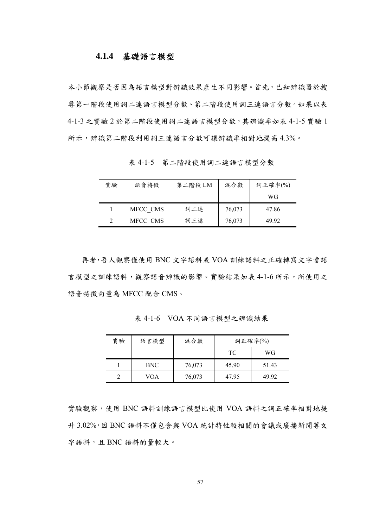#### **4.1.4** 基礎語言模型

本小節觀察是否因為語言模型對辨識效果產生不同影響。首先,已知辨識器於搜 尋第一階段使用詞二連語言模型分數、第二階段使用詞三連語言分數。如果以表 4-1-3 之實驗 2 於第二階段使用詞二連語言模型分數,其辨識率如表 4-1-5 實驗 1 所示,辨識第二階段利用詞三連語言分數可讓辨識率相對地提高 4.3%。

表 4-1-5 第二階段使用詞二連語言模型分數

| 實驗 | 語音特徵     | 第二階段 LM | 混合數    | 詞正確率 $(\%)$ |
|----|----------|---------|--------|-------------|
|    |          |         |        | WG          |
|    | MFCC CMS | 詞二連     | 76,073 | 47.86       |
|    | MFCC CMS | 詞三連     | 76,073 | 49 92       |

再者,吾人觀察僅使用 BNC 文字語料或 VOA 訓練語料之正確轉寫文字當語 言模型之訓練語料,觀察語音辨識的影響。實驗結果如表 4-1-6 所示,所使用之 語音特徵向量為 MFCC 配合 CMS。

| 實驗 | 語言模型       | 混合數    | 詞正確率(%) |       |
|----|------------|--------|---------|-------|
|    |            |        | TC.     | WG    |
|    | <b>BNC</b> | 76,073 | 45.90   | 51.43 |
|    | VOA        | 76,073 | 47.95   | 49 92 |

表 4-1-6 VOA 不同語言模型之辨識結果

實驗觀察,使用 BNC 語料訓練語言模型比使用 VOA 語料之詞正確率相對地提 升 3.02%,因 BNC 語料不僅包含與 VOA 統計特性較相關的會議或廣播新聞等文 字語料,且 BNC 語料的量較大。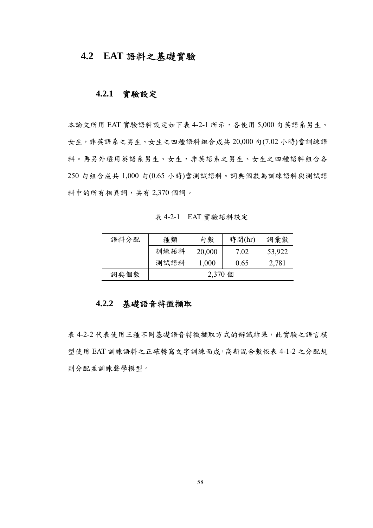## **4.2 EAT** 語料之基礎實驗

#### **4.2.1** 實驗設定

本論文所用 EAT 實驗語料設定如下表 4-2-1 所示,各使用 5,000 句英語系男生、 女生,非英語系之男生、女生之四種語料組合成共 20,000 句(7.02 小時)當訓練語 料。再另外選用英語系男生、女生,非英語系之男生、女生之四種語料組合各 250 句組合成共 1,000 句(0.65 小時)當測試語料。詞典個數為訓練語料與測試語 料中的所有相異詞,共有 2,370 個詞。

表 4-2-1 EAT 實驗語料設定

| 語料分配 | 種類   | 句數      | 時間(hr) | 詞彙數    |
|------|------|---------|--------|--------|
|      | 訓練語料 | 20,000  | 7.02   | 53,922 |
|      | 測試語料 | 1,000   | 0.65   | 2,781  |
| 詞典個數 |      | 2,370 個 |        |        |

# **4.2.2** 基礎語音特徵擷取

表 4-2-2 代表使用三種不同基礎語音特徵擷取方式的辨識結果,此實驗之語言模 型使用 EAT 訓練語料之正確轉寫文字訓練而成,高斯混合數依表 4-1-2 之分配規 則分配並訓練聲學模型。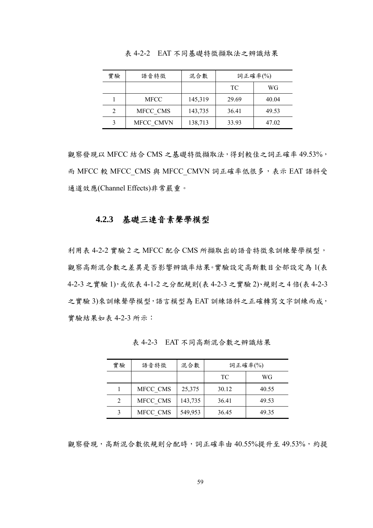| 實驗 | 語音特徵        | 混合數     | 詞正確率 $(\%)$ |       |
|----|-------------|---------|-------------|-------|
|    |             |         | TC          | WG    |
|    | <b>MFCC</b> | 145,319 | 29.69       | 40.04 |
|    | MFCC CMS    | 143,735 | 36.41       | 49.53 |
|    | MFCC CMVN   | 138,713 | 33.93       | 47.02 |

表 4-2-2 EAT 不同基礎特徵擷取法之辨識結果

觀察發現以 MFCC 結合 CMS 之基礎特徵擷取法,得到較佳之詞正確率 49.53%, 而 MFCC 較 MFCC CMS 與 MFCC CMVN 詞正確率低很多,表示 EAT 語料受 通道效應(Channel Effects)非常嚴重。

#### **4.2.3** 基礎三連音素聲學模型

利用表 4-2-2 實驗 2 之 MFCC 配合 CMS 所擷取出的語音特徵來訓練聲學模型, 觀察高斯混合數之差異是否影響辨識率結果。實驗設定高斯數目全部設定為 1(表 4-2-3 之實驗 1),或依表 4-1-2 之分配規則(表 4-2-3 之實驗 2)、規則之 4 倍(表 4-2-3 之實驗 3)來訓練聲學模型,語言模型為 EAT 訓練語料之正確轉寫文字訓練而成, 實驗結果如表 4-2-3 所示:

| 實驗 | 語音特徵     | 混合數     | 詞正確率(%) |       |
|----|----------|---------|---------|-------|
|    |          |         | TC.     | WG    |
|    | MFCC CMS | 25,375  | 30.12   | 40.55 |
|    | MFCC CMS | 143,735 | 36.41   | 49.53 |
|    | MFCC CMS | 549,953 | 36.45   | 49.35 |

表 4-2-3 EAT 不同高斯混合數之辨識結果

觀察發現,高斯混合數依規則分配時,詞正確率由40.55%提升至49.53%,約提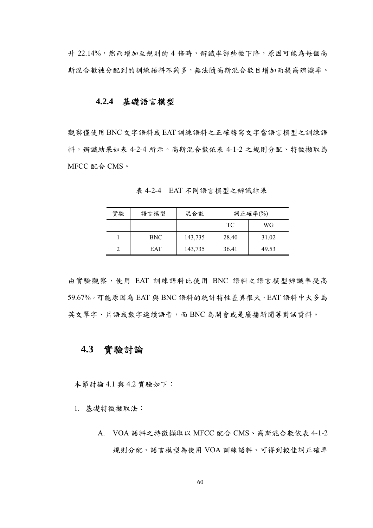升 22.14%,然而增加至規則的 4 倍時,辨識率卻些微下降,原因可能為每個高 斯混合數被分配到的訓練語料不夠多,無法隨高斯混合數目增加而提高辨識率。

#### **4.2.4** 基礎語言模型

觀察僅使用 BNC 文字語料或 EAT 訓練語料之正確轉寫文字當語言模型之訓練語 料,辨識結果如表 4-2-4 所示。高斯混合數依表 4-1-2 之規則分配、特徵擷取為 MFCC 配合 CMS。

| 實驗 | 語言模型 | 混合數     | 詞正確率(%) |       |
|----|------|---------|---------|-------|
|    |      |         | TC.     | WG    |
|    | BNC. | 143,735 | 28.40   | 31.02 |
|    | EAT  | 143,735 | 36.41   | 49.53 |

表 4-2-4 EAT 不同語言模型之辨識結果

由實驗觀察,使用 EAT 訓練語料比使用 BNC 語料之語言模型辨識率提高 59.67%。可能原因為 EAT 與 BNC 語料的統計特性差異很大, EAT 語料中大多為 英文單字、片語或數字連續語音,而 BNC 為開會或是廣播新聞等對話資料。

### **4.3** 實驗討論

本節討論 4.1 與 4.2 實驗如下:

1. 基礎特徵擷取法:

A. VOA 語料之特徵擷取以 MFCC 配合 CMS、高斯混合數依表 4-1-2 規則分配、語言模型為使用 VOA 訓練語料、可得到較佳詞正確率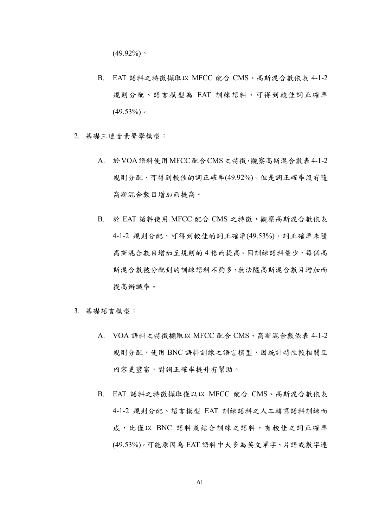$(49.92\%)$ 

- B. EAT 語料之特徵擷取以 MFCC 配合 CMS、高斯混合數依表 4-1-2 規則分配、語言模型為 EAT 訓練語料、可得到較佳詞正確率  $(49.53\%)$
- 2. 基礎三連音素聲學模型:
	- A. 於VOA語料使用MFCC配合CMS之特徵,觀察高斯混合數表4-1-2 規則分配,可得到較佳的詞正確率(49.92%)。但是詞正確率沒有隨 高斯混合數目增加而提高。
	- B. 於 EAT 語料使用 MFCC 配合 CMS 之特徵,觀察高斯混合數依表 4-1-2 規則分配,可得到較佳的詞正確率(49.53%)。詞正確率未隨 高斯混合數目增加至規則的 4 倍而提高。因訓練語料量少,每個高 斯混合數被分配到的訓練語料不夠多,無法隨高斯混合數目增加而 提高辨識率。
- 3. 基礎語言模型:
	- A. VOA 語料之特徵擷取以 MFCC 配合 CMS、高斯混合數依表 4-1-2 規則分配,使用 BNC 語料訓練之語言模型,因統計特性較相關且 內容更豐富,對詞正確率提升有幫助。
	- B. EAT 語料之特徵擷取僅以以 MFCC 配合 CMS、高斯混合數依表 4-1-2 規則分配、語言模型 EAT 訓練語料之人工轉寫語料訓練而 成,比僅以 BNC 語料或結合訓練之語料,有較佳之詞正確率 (49.53%)。可能原因為 EAT 語料中大多為英文單字、片語或數字連

61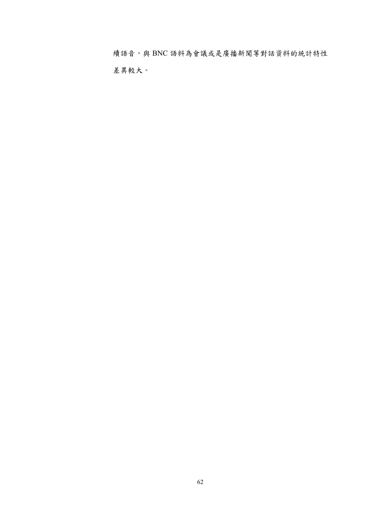續語音,與 BNC 語料為會議或是廣播新聞等對話資料的統計特性 差異較大。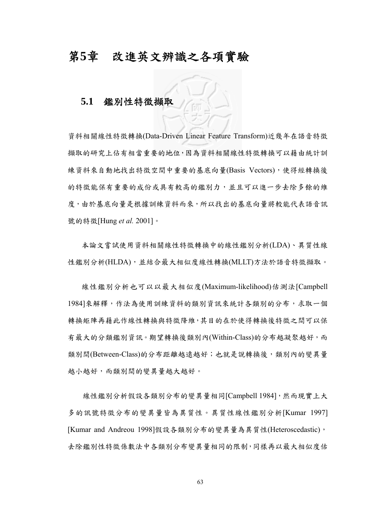## 第**5**章 改進英文辨識之各項實驗

## **5.1** 鑑別性特徵擷取

資料相關線性特徵轉換(Data-Driven Linear Feature Transform)近幾年在語音特徵 擷取的研究上佔有相當重要的地位,因為資料相關線性特徵轉換可以藉由統計訓 練資料來自動地找出特徵空間中重要的基底向量(Basis Vectors),使得經轉換後 的特徵能保有重要的成份或具有較高的鑑別力,並且可以進一步去除多餘的維 度,由於基底向量是根據訓練資料而來,所以找出的基底向量將較能代表語音訊 號的特徵[Hung *et al.* 2001]。

本論文嘗試使用資料相關線性特徵轉換中的線性鑑別分析(LDA)、異質性線 性鑑別分析(HLDA),並結合最大相似度線性轉換(MLLT)方法於語音特徵擷取。

線性鑑別分析也可以以最大相似度(Maximum-likelihood)估測法[Campbell 1984]來解釋,作法為使用訓練資料的類別資訊來統計各類別的分布,求取一個 轉換矩陣再藉此作線性轉換與特徵降維,其目的在於使得轉換後特徵之間可以保 有最大的分類鑑別資訊。期望轉換後類別內(Within-Class)的分布越凝聚越好,而 類別間(Between-Class)的分布距離越遠越好;也就是說轉換後,類別內的變異量 越小越好,而類別間的變異量越大越好。

線性鑑別分析假設各類別分布的變異量相同[Campbell 1984],然而現實上大 多的訊號特徵分布的變異量皆為異質性。異質性線性鑑別分析[Kumar 1997] [Kumar and Andreou 1998]假設各類別分布的變異量為異質性(Heteroscedastic), 去除鑑別性特徵係數法中各類別分布變異量相同的限制,同樣再以最大相似度估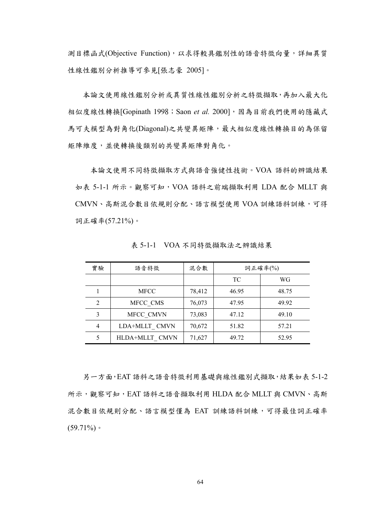測目標函式(Objective Function),以求得較具鑑別性的語音特徵向量,詳細異質 性線性鑑別分析推導可參見[張志豪 2005]。

本論文使用線性鑑別分析或異質性線性鑑別分析之特徵擷取,再加入最大化 相似度線性轉換[Gopinath 1998; Saon et al. 2000],因為目前我們使用的隱藏式 馬可夫模型為對角化(Diagonal)之共變異矩陣,最大相似度線性轉換目的為保留 矩陣維度,並使轉換後類別的共變異矩陣對角化。

 本論文使用不同特徵擷取方式與語音強健性技術。VOA 語料的辨識結果 如表 5-1-1 所示。觀察可知, VOA 語料之前端擷取利用 LDA 配合 MLLT 與 CMVN、高斯混合數目依規則分配、語言模型使用 VOA 訓練語料訓練,可得 詞正確率(57.21%)。

| 實驗             | 語音特徵           | 混合數    | 詞正確率(%) |       |
|----------------|----------------|--------|---------|-------|
|                |                |        | TC      | WG    |
|                | <b>MFCC</b>    | 78,412 | 46.95   | 48.75 |
| $\overline{2}$ | MFCC CMS       | 76,073 | 47.95   | 49.92 |
| 3              | MFCC CMVN      | 73,083 | 47.12   | 49.10 |
| $\overline{4}$ | LDA+MLLT CMVN  | 70,672 | 51.82   | 57.21 |
| 5              | HLDA+MLLT CMVN | 71,627 | 49.72   | 52.95 |

表 5-1-1 VOA 不同特徵擷取法之辨識結果

另一方面,EAT 語料之語音特徵利用基礎與線性鑑別式擷取,結果如表 5-1-2 所示,觀察可知,EAT 語料之語音擷取利用 HLDA 配合 MLLT 與 CMVN、高斯 混合數目依規則分配、語言模型僅為 EAT 訓練語料訓練,可得最佳詞正確率  $(59.71\%)$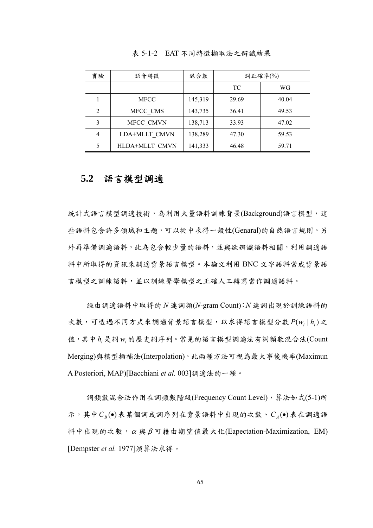| 實驗             | 語音特徵           | 混合數     | 詞正確率(%) |       |
|----------------|----------------|---------|---------|-------|
|                |                |         | TC      | WG    |
|                | <b>MFCC</b>    | 145,319 | 29.69   | 40.04 |
| $\overline{2}$ | MFCC CMS       | 143,735 | 36.41   | 49.53 |
| 3              | MFCC CMVN      | 138,713 | 33.93   | 47.02 |
| 4              | LDA+MLLT CMVN  | 138,289 | 47.30   | 59.53 |
| 5              | HLDA+MLLT CMVN | 141,333 | 46.48   | 59.71 |

表 5-1-2 EAT 不同特徵擷取法之辨識結果

### **5.2** 語言模型調適

統計式語言模型調適技術,為利用大量語料訓練背景(Background)語言模型,這 些語料包含許多領域和主題,可以從中求得一般性(Genaral)的自然語言規則。另 外再準備調適語料,此為包含較少量的語料,並與欲辨識語料相關,利用調適語 料中所取得的資訊來調適背景語言模型。本論文利用 BNC 文字語料當成背景語 言模型之訓練語料,並以訓練聲學模型之正確人工轉寫當作調適語料。

經由調適語料中取得的 *N* 連詞頻(*N*-gram Count):*N* 連詞出現於訓練語料的 次數,可透過不同方式來調適背景語言模型,以求得語言模型分數  $P(w_i | h_i)$ 之 值,其中*hi* 是詞*wi* 的歷史詞序列。常見的語言模型調適法有詞頻數混合法(Count Merging)與模型插補法(Interpolation)。此兩種方法可視為最大事後機率(Maximun A Posteriori, MAP)[Bacchiani *et al.* 003]調適法的一種。

詞頻數混合法作用在詞頻數階級(Frequency Count Level), 算法如式(5-1)所 示,其中  $C_p(\bullet)$  表某個詞或詞序列在背景語料中出現的次數、 $C_q(\bullet)$  表在調適語 料中出現的次數,<sup>α</sup> 與 β 可藉由期望值最大化(Eapectation-Maximization, EM) [Dempster *et al.* 1977]演算法求得。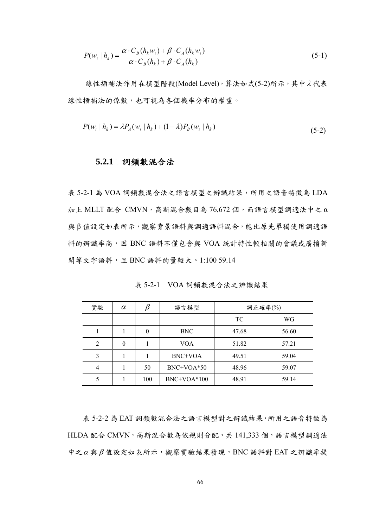$$
P(w_i | h_k) = \frac{\alpha \cdot C_B(h_k w_i) + \beta \cdot C_A(h_k w_i)}{\alpha \cdot C_B(h_k) + \beta \cdot C_A(h_k)}
$$
(5-1)

線性插補法作用在模型階段(Model Level), 算法如式(5-2)所示, 其中λ代表 線性插補法的係數,也可視為各個機率分布的權重。

$$
P(w_i | h_k) = \lambda P_A(w_i | h_k) + (1 - \lambda) P_B(w_i | h_k)
$$
\n(5-2)

#### **5.2.1** 詞頻數混合法

表 5-2-1 為 VOA 詞頻數混合法之語言模型之辨識結果,所用之語音特徵為 LDA  $m \pm$  MLLT 配合 CMVN,高斯混合數目為 76,672個,而語言模型調適法中之 α 與 β 值設定如表所示,觀察背景語料與調適語料混合,能比原先單獨使用調適語 料的辨識率高,因 BNC 語料不僅包含與 VOA 統計特性較相關的會議或廣播新 聞等文字語料,且 BNC 語料的量較大。1:100 59.14

表 5-2-1 VOA 詞頻數混合法之辨識結果

| 實驗 | $\alpha$ |     | 語言模型          | 詞正確率(%) |       |
|----|----------|-----|---------------|---------|-------|
|    |          |     |               | TC      | WG    |
|    |          |     | <b>BNC</b>    | 47.68   | 56.60 |
|    | 0        |     | <b>VOA</b>    | 51.82   | 57.21 |
|    |          |     | BNC+VOA       | 49.51   | 59.04 |
|    |          | 50  | BNC+VOA*50    | 48.96   | 59.07 |
|    |          | 100 | $BNC+VOA*100$ | 48.91   | 59.14 |

表 5-2-2 為 EAT 詞頻數混合法之語言模型對之辨識結果,所用之語音特徵為 HLDA 配合 CMVN, 高斯混合數為依規則分配, 共 141,333 個, 語言模型調適法 中之<sup>α</sup> 與β 值設定如表所示,觀察實驗結果發現,BNC 語料對 EAT 之辨識率提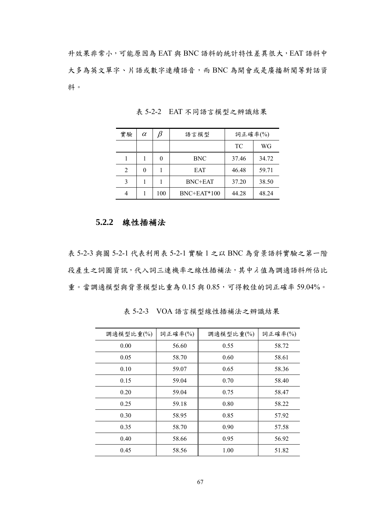升效果非常小,可能原因為 EAT 與 BNC 語料的統計特性差異很大,EAT 語料中 大多為英文單字、片語或數字連續語音,而 BNC 為開會或是廣播新聞等對話資 料。

| 實驗 | $\alpha$ | ß   | 語言模型          | 詞正確率(%) |       |
|----|----------|-----|---------------|---------|-------|
|    |          |     |               | TC      | WG    |
|    |          |     | <b>BNC</b>    | 37.46   | 34.72 |
| 2  |          |     | <b>EAT</b>    | 46.48   | 59.71 |
| 3  |          |     | BNC+EAT       | 37.20   | 38.50 |
|    |          | 100 | $BNC+EAT*100$ | 44.28   | 48.24 |

表 5-2-2 EAT 不同語言模型之辨識結果

#### **5.2.2** 線性插補法

表 5-2-3 與圖 5-2-1 代表利用表 5-2-1 實驗 1 之以 BNC 為背景語料實驗之第一階 段產生之詞圖資訊,代入詞三連機率之線性插補法,其中λ 值為調適語料所佔比 重。當調適模型與背景模型比重為 0.15與 0.85,可得較佳的詞正確率 59.04%。

| 調適模型比重(%) | 詞正確率(%) | 調適模型比重(%) | 詞正確率(%) |
|-----------|---------|-----------|---------|
| 0.00      | 56.60   | 0.55      | 58.72   |
| 0.05      | 58.70   | 0.60      | 58.61   |
| 0.10      | 59.07   | 0.65      | 58.36   |
| 0.15      | 59.04   | 0.70      | 58.40   |
| 0.20      | 59.04   | 0.75      | 58.47   |
| 0.25      | 59.18   | 0.80      | 58.22   |
| 0.30      | 58.95   | 0.85      | 57.92   |
| 0.35      | 58.70   | 0.90      | 57.58   |
| 0.40      | 58.66   | 0.95      | 56.92   |
| 0.45      | 58.56   | 1.00      | 51.82   |

表 5-2-3 VOA 語言模型線性插補法之辨識結果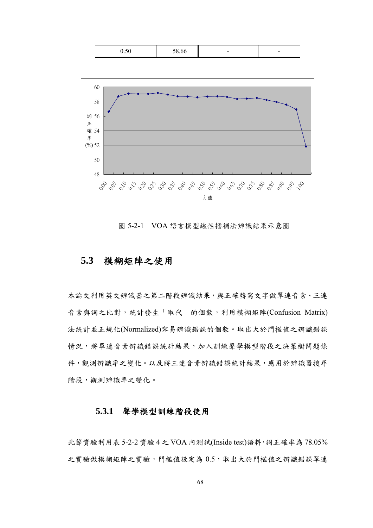| $\sim$ $\sim$<br>U.JU | $\sim$<br>38.66 |  | - |
|-----------------------|-----------------|--|---|
|-----------------------|-----------------|--|---|



圖 5-2-1 VOA 語言模型線性插補法辨識結果示意圖

## **5.3** 模糊矩陣之使用

本論文利用英文辨識器之第二階段辨識結果,與正確轉寫文字做單連音素、三連 音素與詞之比對,統計發生「取代」的個數,利用模糊矩陣(Confusion Matrix) 法統計並正規化(Normalized)容易辨識錯誤的個數。取出大於門檻值之辨識錯誤 情況,將單連音素辨識錯誤統計結果,加入訓練聲學模型階段之決策樹問題條 件,觀測辨識率之變化。以及將三連音素辨識錯誤統計結果,應用於辨識器搜尋 階段,觀測辨識率之變化。

#### **5.3.1** 聲學模型訓練階段使用

此節實驗利用表 5-2-2 實驗 4 之 VOA 內測試(Inside test)語料,詞正確率為 78.05% 之實驗做模糊矩陣之實驗,門檻值設定為 0.5,取出大於門檻值之辨識錯誤單連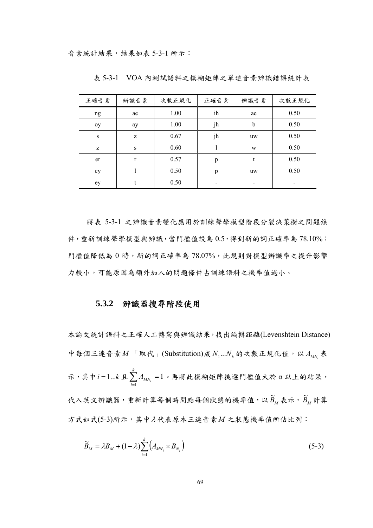| 正確音素 | 辨識音素         | 次數正規化 | 正確音素 | 辨識音素      | 次數正規化 |
|------|--------------|-------|------|-----------|-------|
| ng   | ae           | 1.00  | ih   | ae        | 0.50  |
| oy   | ay           | 1.00  | jh   | b         | 0.50  |
| S    | Z            | 0.67  | jh   | uw        | 0.50  |
| Z    | S            | 0.60  |      | W         | 0.50  |
| er   | $\mathbf{r}$ | 0.57  | p    |           | 0.50  |
| ey   |              | 0.50  | p    | <b>uw</b> | 0.50  |
| ey   |              | 0.50  |      |           |       |

表 5-3-1 VOA 內測試語料之模糊矩陣之單連音素辨識錯誤統計表

將表 5-3-1 之辨識音素變化應用於訓練聲學模型階段分裂決策樹之問題條 件,重新訓練聲學模型與辨識,當門檻值設為 0.5,得到新的詞正確率為 78.10%; 門檻值降低為 0 時,新的詞正確率為 78.07%,此規則對模型辨識率之提升影響 力較小,可能原因為額外加入的問題條件占訓練語料之機率值過小。

#### **5.3.2** 辨識器搜尋階段使用

本論文統計語料之正確人工轉寫與辨識結果,找出編輯距離(Levenshtein Distance) 中每個三連音素  $M$  「取代」(Substitution)成  $N_1...N_k$  的次數正規化值,以  $A_{MN_i}$  表 示,其中 *i* = 1… $k$  且 $\sum_{i=1}^{k} A_{MN_i}$  =  $\sum_{i=1} A_{MN_i}$ 1。再將此模糊矩陣挑選門檻值大於 α 以上的結果, 代入英文辨識器,重新計算每個時間點每個狀態的機率值,以 $\widetilde{B}_M$ 表示, $\widetilde{B}_M$ 計算 方式如式(5-3)所示,其中λ 代表原本三連音素*M* 之狀態機率值所佔比列:

$$
\widetilde{B}_M = \lambda B_M + (1 - \lambda) \sum_{i=1}^k \left( A_{MN_i} \times B_{N_i} \right) \tag{5-3}
$$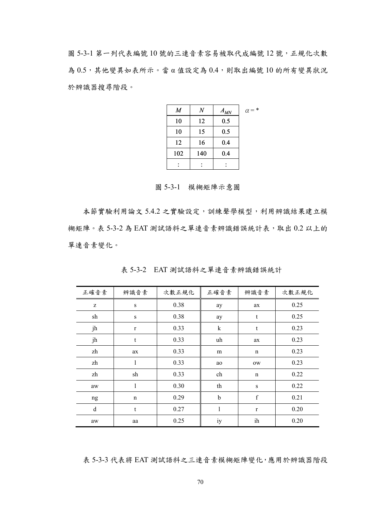圖 5-3-1 第一列代表編號 10 號的三連音素容易被取代成編號 12 號,正規化次數 為 0.5,其他變異如表所示。當 α 值設定為 0.4,則取出編號 10 的所有變異狀況 於辨識器搜尋階段。

| $\boldsymbol{M}$ | $\overline{N}$ | $A_{MN}$ | $\alpha = *$ |
|------------------|----------------|----------|--------------|
| 10               | 12             | 0.5      |              |
| 10               | 15             | 0.5      |              |
| 12               | 16             | 0.4      |              |
| 102              | 140            | 0.4      |              |
|                  |                |          |              |

圖 5-3-1 模糊矩陣示意圖

本節實驗利用論文 5.4.2 之實驗設定,訓練聲學模型,利用辨識結果建立模 糊矩陣。表 5-3-2 為 EAT 測試語料之單連音素辨識錯誤統計表,取出 0.2 以上的 單連音素變化。

| 正確音素 | 辨識音素        | 次數正規化 | 正確音素    | 辨識音素         | 次數正規化 |
|------|-------------|-------|---------|--------------|-------|
| Z    | S           | 0.38  | ay      | ax           | 0.25  |
| sh   | $\mathbf S$ | 0.38  | ay      | t            | 0.25  |
| jh   | $\mathbf r$ | 0.33  | $\bf k$ | t            | 0.23  |
| jh   | t           | 0.33  | uh      | ax           | 0.23  |
| zh   | ax          | 0.33  | m       | $\mathbf n$  | 0.23  |
| zh   | 1           | 0.33  | ao      | ow           | 0.23  |
| zh   | sh          | 0.33  | ch      | $\mathbf n$  | 0.22  |
| aw   | 1           | 0.30  | th      | S            | 0.22  |
| ng   | $\mathbf n$ | 0.29  | b       | $\mathbf f$  | 0.21  |
| d    | t           | 0.27  | 1       | $\mathbf{r}$ | 0.20  |
| aw   | aa          | 0.25  | iy      | ih           | 0.20  |

表 5-3-2 EAT 測試語料之單連音素辨識錯誤統計

表 5-3-3 代表將 EAT 測試語料之三連音素模糊矩陣變化,應用於辨識器階段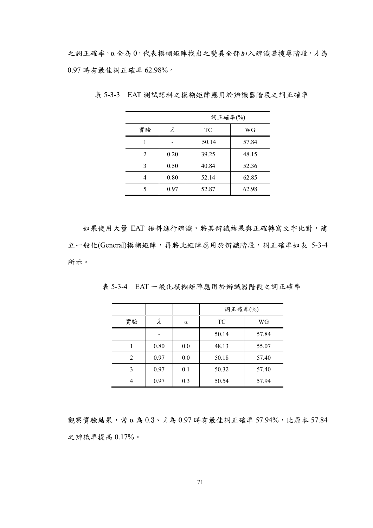之詞正確率,α 全為 0,代表模糊矩陣找出之變異全部加入辨識器搜尋階段,λ 為 0.97 時有最佳詞正確率 62.98%。

|    |      | 詞正確率(%) |       |  |
|----|------|---------|-------|--|
| 實驗 | λ    | TC      | WG    |  |
|    |      | 50.14   | 57.84 |  |
| 2  | 0.20 | 39.25   | 48.15 |  |
| 3  | 0.50 | 40.84   | 52.36 |  |
|    | 0.80 | 52.14   | 62.85 |  |
| 5  | 0.97 | 52.87   | 62.98 |  |

表 5-3-3 EAT 測試語料之模糊矩陣應用於辨識器階段之詞正確率

如果使用大量 EAT 語料進行辨識,將其辨識結果與正確轉寫文字比對,建 立一般化(General)模糊矩陣,再將此矩陣應用於辨識階段,詞正確率如表 5-3-4 所示。

|    |      |          | 詞正確率(%) |       |
|----|------|----------|---------|-------|
| 實驗 |      | $\alpha$ | TC      | WG    |
|    |      |          | 50.14   | 57.84 |
|    | 0.80 | 0.0      | 48.13   | 55.07 |
| 2  | 0.97 | 0.0      | 50.18   | 57.40 |
| 3  | 0.97 | 0.1      | 50.32   | 57.40 |
|    | 0.97 | 0.3      | 50.54   | 57.94 |

表 5-3-4 EAT 一般化模糊矩陣應用於辨識器階段之詞正確率

觀察實驗結果,當 α為  $0.3 \cdot \lambda$ 為  $0.97$  時有最佳詞正確率 57.94%,比原本 57.84 之辨識率提高 0.17%。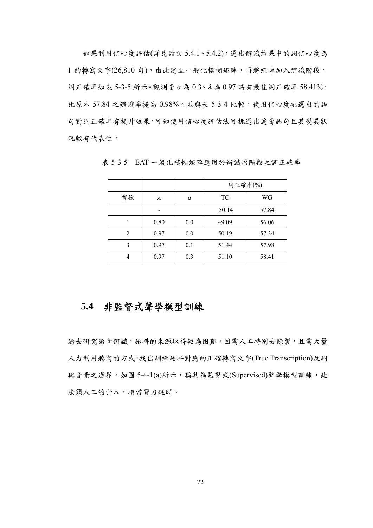如果利用信心度評估(詳見論文 5.4.1、5.4.2),選出辨識結果中的詞信心度為 1 的轉寫文字(26,810 句),由此建立一般化模糊矩陣,再將矩陣加入辨識階段, 詞正確率如表 5-3-5 所示。觀測當 α 為 0.3、λ 為 0.97 時有最佳詞正確率 58.41%, 比原本 57.84 之辨識率提高 0.98%。並與表 5-3-4 比較,使用信心度挑選出的語 句對詞正確率有提升效果。可知使用信心度評估法可挑選出適當語句且其變異狀 況較有代表性。

|                |      |     | 詞正確率(%) |       |
|----------------|------|-----|---------|-------|
| 實驗             | λ    | α   | TC      | WG    |
|                |      |     | 50.14   | 57.84 |
|                | 0.80 | 0.0 | 49.09   | 56.06 |
| $\overline{c}$ | 0.97 | 0.0 | 50.19   | 57.34 |
| 3              | 0.97 | 0.1 | 51.44   | 57.98 |
|                | 0.97 | 0.3 | 51.10   | 58.41 |

表 5-3-5 EAT 一般化模糊矩陣應用於辨識器階段之詞正確率

## **5.4** 非監督式聲學模型訓練

過去研究語音辨識,語料的來源取得較為困難,因需人工特別去錄製,且需大量 人力利用聽寫的方式,找出訓練語料對應的正確轉寫文字(True Transcription)及詞 與音素之邊界。如圖 5-4-1(a)所示,稱其為監督式(Supervised)聲學模型訓練,此 法須人工的介入,相當費力耗時。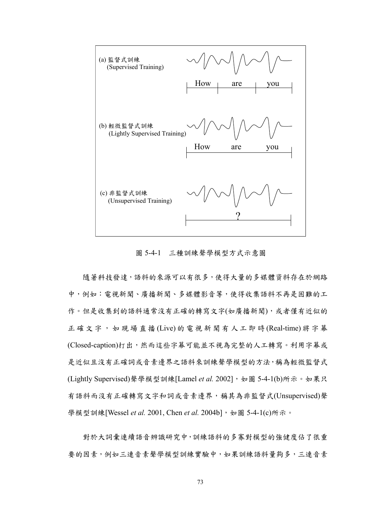

圖 5-4-1 三種訓練聲學模型方式示意圖

隨著科技發達,語料的來源可以有很多,使得大量的多媒體資料存在於網路 中,例如:電視新聞、廣播新聞、多媒體影音等,使得收集語料不再是困難的工 作。但是收集到的語料通常沒有正確的轉寫文字(如廣播新聞),或者僅有近似的 正確文字,如現場直播 (Live) 的電視新聞有人工即時 (Real-time) 將字幕 (Closed-caption)打出,然而這些字幕可能並不視為完整的人工轉寫。利用字幕或 是近似且沒有正確詞或音素邊界之語料來訓練聲學模型的方法,稱為輕微監督式 (Lightly Supervised)聲學模型訓練[Lamel et al. 2002], 如圖 5-4-1(b)所示。如果只 有語料而沒有正確轉寫文字和詞或音素邊界,稱其為非監督式(Unsupervised)聲 學模型訓練[Wessel *et al.* 2001, Chen *et al.* 2004b], 如圖 5-4-1(c)所示。

對於大詞彙連續語音辨識研究中,訓練語料的多寡對模型的強健度佔了很重 要的因素,例如三連音素聲學模型訓練實驗中,如果訓練語料量夠多,三連音素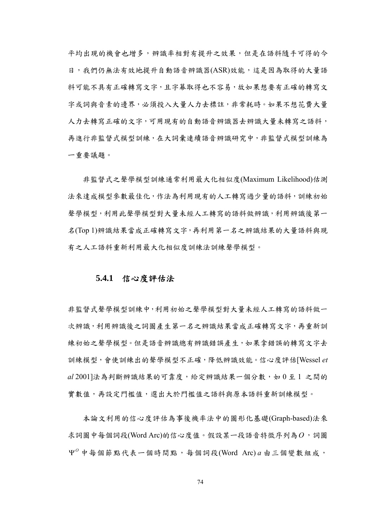平均出現的機會也增多,辨識率相對有提升之效果,但是在語料隨手可得的今 日,我們仍無法有效地提升自動語音辨識器(ASR)效能,這是因為取得的大量語 料可能不具有正確轉寫文字,且字幕取得也不容易,故如果想要有正確的轉寫文 字或詞與音素的邊界,必須投入大量人力去標註,非常耗時。如果不想花費大量 人力去轉寫正確的文字,可用現有的自動語音辨識器去辨識大量未轉寫之語料, 再進行非監督式模型訓練,在大詞彙連續語音辨識研究中,非監督式模型訓練為 ㄧ重要議題。

非監督式之聲學模型訓練通常利用最大化相似度(Maximum Likelihood)估測 法來達成模型參數最佳化,作法為利用現有的人工轉寫過少量的語料,訓練初始 聲學模型,利用此聲學模型對大量未經人工轉寫的語料做辨識,利用辨識後第一 名(Top 1)辨識結果當成正確轉寫文字,再利用第一名之辨識結果的大量語料與現 有之人工語料重新利用最大化相似度訓練法訓練聲學模型。

#### **5.4.1** 信心度評估法

非監督式聲學模型對大量未經人工轉寫的語料做一 次辨識,利用辨識後之詞圖產生第一名之辨識結果當成正確轉寫文字,再重新訓 練初始之聲學模型。但是語音辨識總有辨識錯誤產生,如果拿錯誤的轉寫文字去 訓練模型,會使訓練出的聲學模型不正確,降低辨識效能。信心度評估[Wessel *et al* 2001]法為判斷辨識結果的可靠度,給定辨識結果一個分數,如 0 至 1 之間的 實數值,再設定門檻值,選出大於門檻值之語料與原本語料重新訓練模型。

 本論文利用的信心度評估為事後機率法中的圖形化基礎(Graph-based)法來 求詞圖中每個詞段(Word Arc)的信心度值。假設某ㄧ段語音特徵序列為*O*,詞圖  $\Psi^{0}$  中每個節點代表一個時間點,每個詞段(Word Arc)  $a$  由三個變數組成,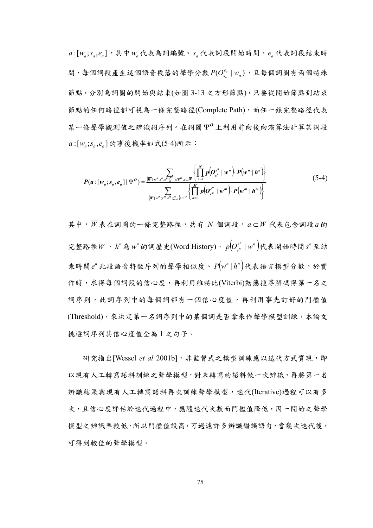$a:[w_a; s_a, e_a]$ , 其中 $w_a$ 代表為詞編號、 $s_a$ 代表詞段開始時間、 $e_a$ 代表詞段結束時 問,每個詞段產生這個語音段落的聲學分數 $P(O_{s_a}^{e_a} | w_a)$ ,且每個詞圖有兩個特殊 節點,分別為詞圖的開始與結束(如圖 3-13 之方形節點),只要從開始節點到結束 節點的任何路徑都可視為一條完整路徑(Complete Path),而任一條完整路徑代表 某ㄧ條聲學觀測值之辨識詞序列。在詞圖 *<sup>O</sup>* Ψ 上利用前向後向演算法計算某詞段 :[ ; , ] *<sup>a</sup> <sup>a</sup> <sup>a</sup> a w s e* 的事後機率如式(5-4)所示:

$$
P(a : [w_a; s_a, e_a] | \Psi^o) = \frac{\sum_{\{\overline{W_{\{w^n, s^n, e^n\}}\}} \in \Psi^o, a \in \overline{W}} \left\{ \prod_{n=1}^N p(o_{s^n} e^n | w^n) \cdot P(w^n | h^n) \right\}}{\sum_{\{\overline{W_{\{w^m, s^m, e^m\}}\}} \left\{ \prod_{n=1}^M p(o_{s^m} e^n | w^n) \cdot P(w^m | h^n) \right\}} (5-4)
$$

其中,*W* 表在詞圖的ㄧ條完整路徑,共有 *N* 個詞段,*a* ⊂ *W* 代表包含詞段*a* 的 完整路徑 $\overline{W}$ , h"為 w"的詞歷史(Word History),  $p\big(O^{e^n}_{s^n} \mid w^n\big)$ 代表開始時間 s"至結 束時間 *<sup>n</sup> e* 此段語音特徵序列的聲學相似度、 ( ) *<sup>n</sup> <sup>n</sup> P w* | *h* 代表語言模型分數。於實 作時,求得每個詞段的信心度,再利用維特比(Viterbi)動態搜尋解碼得第一名之 詞序列,此詞序列中的每個詞都有一個信心度值,再利用事先訂好的門檻值 (Threshold),來決定第一名詞序列中的某個詞是否拿來作聲學模型訓練,本論文 挑選詞序列其信心度值全為 1 之句子。

研究指出[Wessel et al 2001b], 非監督式之模型訓練應以迭代方式實現, 即 以現有人工轉寫語料創練之聲學模型,對未轉寫的語料做一次辨識,再將第一名 辨識結果與現有人工轉寫語料再次訓練聲學模型,迭代(Iterative)過程可以有多 次,且信心度評估於迭代過程中,應隨迭代次數而門檻值降低,因一開始之聲學 模型之辨識率較低,所以門檻值設高,可過濾許多辨識錯誤語句,當幾次迭代後, 可得到較佳的聲學模型。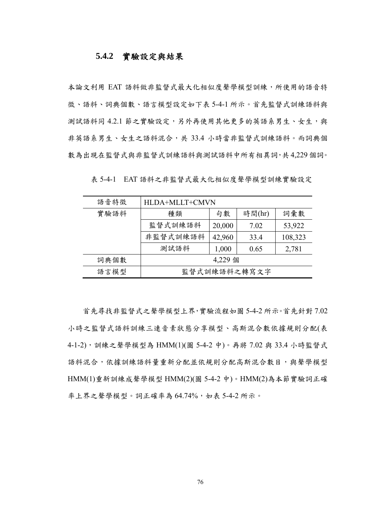#### **5.4.2** 實驗設定與結果

本論文利用 EAT 語料做非監督式最大化相似度聲學模型訓練,所使用的語音特 徵、語料、詞典個數、語言模型設定如下表 5-4-1 所示。首先監督式訓練語料與 測試語料同 4.2.1 節之實驗設定,另外再使用其他更多的英語系男生、女生,與 非英語系男生、女生之語料混合,共 33.4 小時當非監督式訓練語料。而詞典個 數為出現在監督式與非監督式訓練語料與測試語料中所有相異詞,共4,229個詞。

| 語音特徵 | HLDA+MLLT+CMVN |        |        |         |
|------|----------------|--------|--------|---------|
| 實驗語料 | 種類             | 句數     | 時間(hr) | 詞彙數     |
|      | 監督式訓練語料        | 20,000 | 7.02   | 53,922  |
|      | 非監督式訓練語料       | 42,960 | 33.4   | 108,323 |
|      | 測試語料           | 1,000  | 0.65   | 2,781   |
| 詞典個數 | 4,229 個        |        |        |         |
| 語言模型 | 監督式訓練語料之轉寫文字   |        |        |         |

表 5-4-1 EAT 語料之非監督式最大化相似度聲學模型訓練實驗設定

 首先尋找非監督式之聲學模型上界,實驗流程如圖 5-4-2 所示。首先針對 7.02 小時之監督式語料訓練三連音素狀態分享模型、高斯混合數依據規則分配(表 4-1-2),訓練之聲學模型為 HMM(1)(圖 5-4-2 中)。再將 7.02 與 33.4 小時監督式 語料混合,依據訓練語料量重新分配並依規則分配高斯混合數目,與聲學模型 HMM(1)重新訓練成聲學模型 HMM(2)(圖 5-4-2 中)。HMM(2)為本節實驗詞正確 率上界之聲學模型。詞正確率為 64.74%,如表 5-4-2 所示。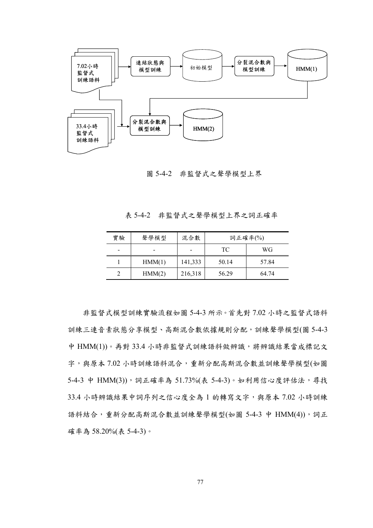

圖 5-4-2 非監督式之聲學模型上界

表 5-4-2 非監督式之聲學模型上界之詞正確率

| 實驗 | 聲學模型   | 混合數     | 詞正確率(%) |       |
|----|--------|---------|---------|-------|
|    |        |         | TC.     | WG    |
|    | HMM(1) | 141,333 | 50.14   | 57.84 |
|    | HMM(2) | 216,318 | 56.29   | 64.74 |

 非監督式模型訓練實驗流程如圖 5-4-3 所示。首先對 7.02 小時之監督式語料 訓練三連音素狀態分享模型、高斯混合數依據規則分配,訓練聲學模型(圖 5-4-3 中 HMM(1))。再對 33.4 小時非監督式訓練語料做辨識,將辨識結果當成標記文 字,與原本 7.02 小時訓練語料混合,重新分配高斯混合數並訓練聲學模型(如圖 5-4-3 中 HMM(3)),詞正確率為 51.73%(表 5-4-3)。如利用信心度評估法,尋找 33.4 小時辨識結果中詞序列之信心度全為 1 的轉寫文字,與原本 7.02 小時訓練 語料結合,重新分配高斯混合數並訓練聲學模型(如圖 5-4-3 中 HMM(4)),詞正 確率為 58.20%(表 5-4-3)。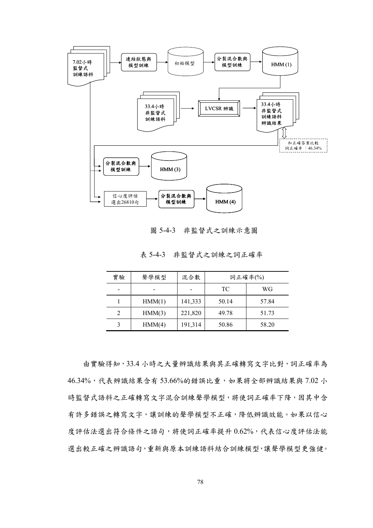

圖 5-4-3 非監督式之訓練示意圖

|  |  | 表 5-4-3 非監督式之訓練之詞正確率 |  |
|--|--|----------------------|--|
|--|--|----------------------|--|

| 實驗 | 聲學模型   | 混合數     | 詞正確率(%) |       |
|----|--------|---------|---------|-------|
|    |        |         | TC      | WG    |
|    | HMM(1) | 141,333 | 50.14   | 57.84 |
| 2  | HMM(3) | 221,820 | 49.78   | 51.73 |
|    | HMM(4) | 191,314 | 50.86   | 58.20 |

由實驗得知,33.4 小時之大量辨識結果與其正確轉寫文字比對,詞正確率為 46.34%,代表辨識結果含有53.66%的錯誤比重,如果將全部辨識結果與 7.02 小 時監督式語料之正確轉寫文字混合訓練聲學模型,將使詞正確率下降,因其中含 有許多錯誤之轉寫文字,讓訓練的聲學模型不正確,降低辨識效能。如果以信心 度評估法選出符合條件之語句,將使詞正確率提升0.62%,代表信心度評估法能 選出較正確之辨識語句,重新與原本訓練語料結合訓練模型,讓聲學模型更強健。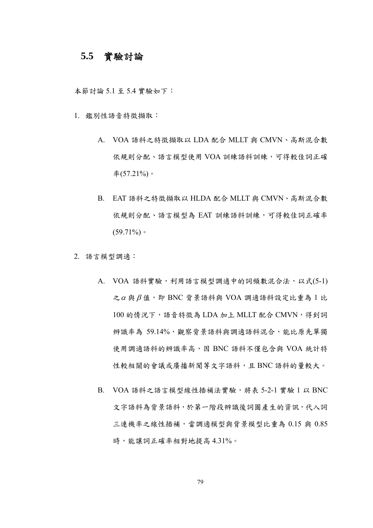### **5.5** 實驗討論

本節討論 5.1 至 5.4 實驗如下:

- 1. 鑑別性語音特徵擷取:
	- A. VOA 語料之特徵擷取以 LDA 配合 MLLT 與 CMVN、高斯混合數 依規則分配、語言模型使用 VOA 訓練語料訓練,可得較佳詞正確  $\&(57.21\%)$ 。
	- B. EAT 語料之特徵擷取以 HLDA 配合 MLLT 與 CMVN、高斯混合數 依規則分配、語言模型為 EAT 訓練語料訓練,可得較佳詞正確率  $(59.71\%)$
- 2. 語言模型調適:
	- A. VOA 語料實驗,利用語言模型調適中的詞頻數混合法,以式(5-1)  $z\alpha$ 與 $β$ 值, 即 BNC 背景語料與 VOA 調適語料設定比重為 1 比 100 的情況下,語音特徵為 LDA 加上 MLLT 配合 CMVN, 得到詞 辨識率為 59.14%,觀察背景語料與調適語料混合,能比原先單獨 使用調適語料的辨識率高,因 BNC 語料不僅包含與 VOA 統計特 性較相關的會議或廣播新聞等文字語料,且 BNC 語料的量較大。
	- B. VOA 語料之語言模型線性插補法實驗,將表 5-2-1 實驗 1 以 BNC 文字語料為背景語料,於第一階段辨識後詞圖產生的資訊,代入詞 三連機率之線性插補,當調適模型與背景模型比重為 0.15 與 0.85 時,能讓詞正確率相對地提高 4.31%。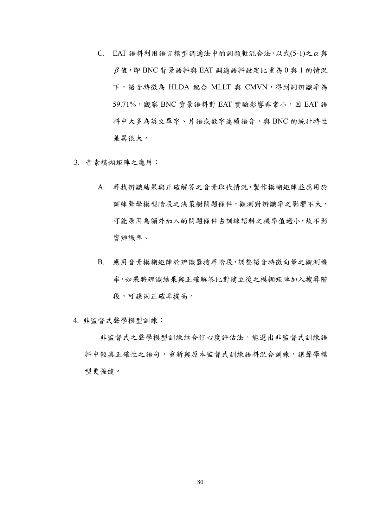- C. EAT 語料利用語言模型調適法中的詞頻數混合法,以式(5-1)之 $\alpha$  與  $\beta$ 值, 即 BNC 背景語料與 EAT 調適語料設定比重為  $0$ 與 1 的情况 下,語音特徵為 HLDA 配合 MLLT 與 CMVN, 得到詞辨識率為 59.71%, 觀察 BNC 背景語料對 EAT 實驗影響非常小, 因 EAT 語 料中大多為英文單字、片語或數字連續語音,與 BNC 的統計特性 差異很大。
- 3. 音素模糊矩陣之應用:
	- A. 尋找辨識結果與正確解答之音素取代情況,製作模糊矩陣並應用於 訓練聲學模型階段之決策樹問題條件,觀測對辨識率之影響不大, 可能原因為額外加入的問題條件占訓練語料之機率值過小,故不影 響辨識率。
	- B. 應用音素模糊矩陣於辨識器搜尋階段,調整語音特徵向量之觀測機 率,如果將辨識結果與正確解答比對建立後之模糊矩陣加入搜尋階 段,可讓詞正確率提高。
- 4. 非監督式聲學模型訓練:

非監督式之聲學模型訓練結合信心度評估法,能選出非監督式訓練語 料中較具正確性之語句,重新與原本監督式訓練語料混合訓練,讓聲學模 型更強健。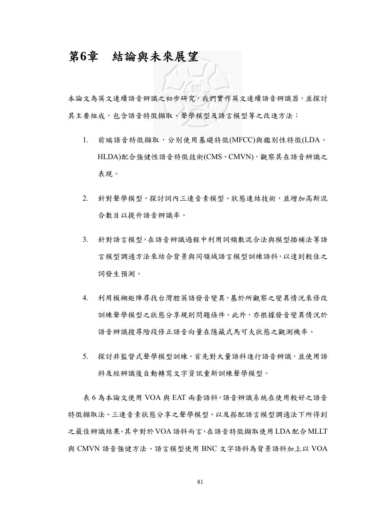## 第**6**章 結論與未來展望

本論文為英文連續語音辨識之初步研究,我們實作英文連續語音辨識器,並探討 其主要組成,包含語音特徵擷取、聲學模型及語言模型等之改進方法:

- 1. 前端語音特徵擷取,分別使用基礎特徵(MFCC)與鑑別性特徵(LDA、 HLDA)配合強健性語音特徵技術(CMS、CMVN),觀察其在語音辨識之 表現。
- 2. 針對聲學模型,探討詞內三連音素模型、狀態連結技術,並增加高斯混 合數目以提升語音辨識率。
- 3. 針對語言模型,在語音辨識過程中利用詞頻數混合法與模型插補法等語 言模型調適方法來結合背景與同領域語言模型訓練語料,以達到較佳之 詞發生預測。
- 4. 利用模糊矩陣尋找台灣腔英語發音變異,基於所觀察之變異情況來修改 訓練聲學模型之狀態分享規則問題條件。此外,亦根據發音變異情況於 語音辨識搜尋階段修正語音向量在隱藏式馬可夫狀態之觀測機率。
- 5. 探討非監督式聲學模型訓練,首先對大量語料進行語音辨識,並使用語 料及經辨識後自動轉寫文字資訊重新訓練聲學模型。

表 6 為本論文使用 VOA 與 EAT 兩套語料,語音辨識系統在使用較好之語音 特徵擷取法、三連音素狀態分享之聲學模型、以及搭配語言模型調適法下所得到 之最佳辨識結果。其中對於VOA語料而言,在語音特徵擷取使用LDA配合MLLT 與 CMVN 語音強健方法、語言模型使用 BNC 文字語料為背景語料加上以 VOA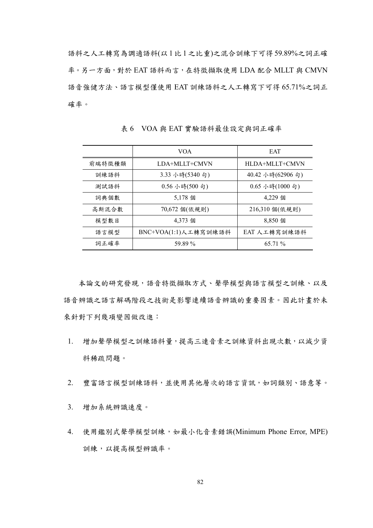語料之人工轉寫為調適語料(以 1 比 1 之比重)之混合訓練下可得 59.89%之詞正確 率。另一方面,對於 EAT 語料而言,在特徵擷取使用 LDA 配合 MLLT 與 CMVN 語音強健方法、語言模型僅使用 EAT 訓練語料之人工轉寫下可得 65.71%之詞正 確率。

|        | <b>VOA</b>                              | <b>EAT</b>                                   |
|--------|-----------------------------------------|----------------------------------------------|
| 前端特徵種類 | LDA+MLLT+CMVN                           | HLDA+MLLT+CMVN                               |
| 訓練語料   | 3.33 小時(5340 句)                         | 40.42 小時(62906 句)                            |
| 測試語料   | $0.56 \text{ }\sqrt[3]{100} \text{ }6)$ | $0.65 \text{ }\Lambda$ 時 $(1000 \text{ } 5)$ |
| 詞典個數   | 5,178 個                                 | 4,229 個                                      |
| 高斯混合數  | 70,672 個(依規則)                           | 216,310 個(依規則)                               |
| 模型數目   | 4,373 個                                 | 8,850 個                                      |
| 語言模型   | BNC+VOA(1:1)人工轉寫訓練語料                    | EAT 人工轉寫訓練語料                                 |
| 詞正確率   | 59.89 %                                 | 65.71 %                                      |

表 6 VOA 與 EAT 實驗語料最佳設定與詞正確率

本論文的研究發現,語音特徵擷取方式、聲學模型與語言模型之訓練、以及 語音辨識之語言解碼階段之技術是影響連續語音辨識的重要因素。因此計畫於未 來針對下列幾項變因做改進:

- 1. 增加聲學模型之訓練語料量,提高三連音素之訓練資料出現次數,以減少資 料稀疏問題。
- 2. 豐富語言模型訓練語料,並使用其他層次的語言資訊,如詞類別、語意等。
- 3. 增加系統辨識速度。
- 4. 使用鑑別式聲學模型訓練,如最小化音素錯誤(Minimum Phone Error, MPE) 訓練,以提高模型辨識率。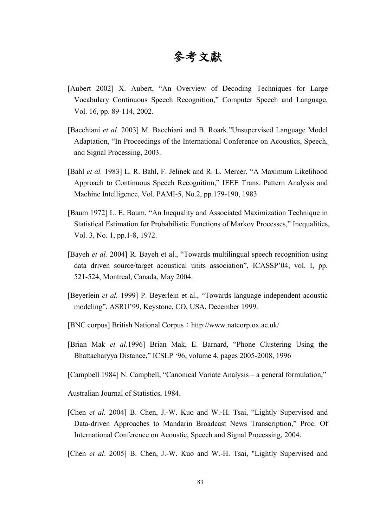# 參考文獻

- [Aubert 2002] X. Aubert, "An Overview of Decoding Techniques for Large Vocabulary Continuous Speech Recognition," Computer Speech and Language, Vol. 16, pp. 89-114, 2002.
- [Bacchiani *et al.* 2003] M. Bacchiani and B. Roark."Unsupervised Language Model Adaptation, "In Proceedings of the International Conference on Acoustics, Speech, and Signal Processing, 2003.
- [Bahl *et al.* 1983] L. R. Bahl, F. Jelinek and R. L. Mercer, "A Maximum Likelihood Approach to Continuous Speech Recognition," IEEE Trans. Pattern Analysis and Machine Intelligence, Vol. PAMI-5, No.2, pp.179-190, 1983
- [Baum 1972] L. E. Baum, "An Inequality and Associated Maximization Technique in Statistical Estimation for Probabilistic Functions of Markov Processes," Inequalities, Vol. 3, No. 1, pp.1-8, 1972.
- [Bayeh *et al.* 2004] R. Bayeh et al., "Towards multilingual speech recognition using data driven source/target acoustical units association", ICASSP'04, vol. I, pp. 521-524, Montreal, Canada, May 2004.
- [Beyerlein *et al.* 1999] P. Beyerlein et al., "Towards language independent acoustic modeling", ASRU'99, Keystone, CO, USA, December 1999.
- [BNC corpus] British National Corpus: http://www.natcorp.ox.ac.uk/
- [Brian Mak *et al.*1996] Brian Mak, E. Barnard, "Phone Clustering Using the Bhattacharyya Distance," ICSLP '96, volume 4, pages 2005-2008, 1996
- [Campbell 1984] N. Campbell, "Canonical Variate Analysis a general formulation,"
- Australian Journal of Statistics, 1984.
- [Chen *et al.* 2004] B. Chen, J.-W. Kuo and W.-H. Tsai, "Lightly Supervised and Data-driven Approaches to Mandarin Broadcast News Transcription," Proc. Of International Conference on Acoustic, Speech and Signal Processing, 2004.
- [Chen *et al*. 2005] B. Chen, J.-W. Kuo and W.-H. Tsai, "Lightly Supervised and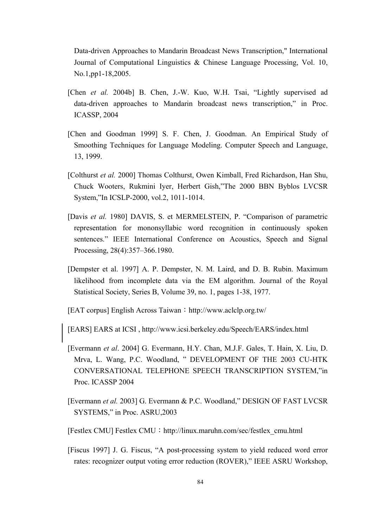Data-driven Approaches to Mandarin Broadcast News Transcription," International Journal of Computational Linguistics & Chinese Language Processing, Vol. 10, No.1,pp1-18,2005.

- [Chen *et al.* 2004b] B. Chen, J.-W. Kuo, W.H. Tsai, "Lightly supervised ad data-driven approaches to Mandarin broadcast news transcription," in Proc. ICASSP, 2004
- [Chen and Goodman 1999] S. F. Chen, J. Goodman. An Empirical Study of Smoothing Techniques for Language Modeling. Computer Speech and Language, 13, 1999.
- [Colthurst *et al.* 2000] Thomas Colthurst, Owen Kimball, Fred Richardson, Han Shu, Chuck Wooters, Rukmini Iyer, Herbert Gish,"The 2000 BBN Byblos LVCSR System,"In ICSLP-2000, vol.2, 1011-1014.
- [Davis *et al.* 1980] DAVIS, S. et MERMELSTEIN, P. "Comparison of parametric representation for mononsyllabic word recognition in continuously spoken sentences." IEEE International Conference on Acoustics, Speech and Signal Processing, 28(4):357–366.1980.
- [Dempster et al. 1997] A. P. Dempster, N. M. Laird, and D. B. Rubin. Maximum likelihood from incomplete data via the EM algorithm. Journal of the Royal Statistical Society, Series B, Volume 39, no. 1, pages 1-38, 1977.

[EAT corpus] English Across Taiwan: http://www.aclclp.org.tw/

[EARS] EARS at ICSI , http://www.icsi.berkeley.edu/Speech/EARS/index.html

- [Evermann *et al*. 2004] G. Evermann, H.Y. Chan, M.J.F. Gales, T. Hain, X. Liu, D. Mrva, L. Wang, P.C. Woodland, " DEVELOPMENT OF THE 2003 CU-HTK CONVERSATIONAL TELEPHONE SPEECH TRANSCRIPTION SYSTEM,"in Proc. ICASSP 2004
- [Evermann *et al.* 2003] G. Evermann & P.C. Woodland," DESIGN OF FAST LVCSR SYSTEMS," in Proc. ASRU,2003
- [Festlex CMU] Festlex CMU: http://linux.maruhn.com/sec/festlex\_cmu.html
- [Fiscus 1997] J. G. Fiscus, "A post-processing system to yield reduced word error rates: recognizer output voting error reduction (ROVER)," IEEE ASRU Workshop,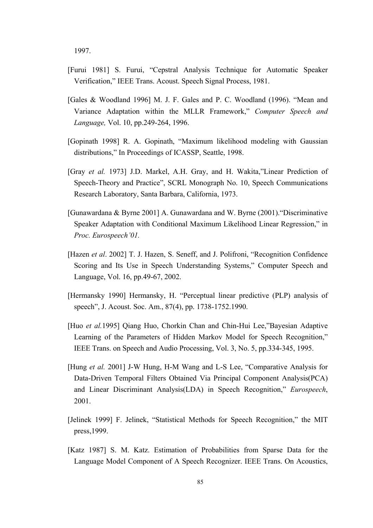1997.

- [Furui 1981] S. Furui, "Cepstral Analysis Technique for Automatic Speaker Verification," IEEE Trans. Acoust. Speech Signal Process, 1981.
- [Gales & Woodland 1996] M. J. F. Gales and P. C. Woodland (1996). "Mean and Variance Adaptation within the MLLR Framework," *Computer Speech and Language,* Vol. 10, pp.249-264, 1996.
- [Gopinath 1998] R. A. Gopinath, "Maximum likelihood modeling with Gaussian distributions," In Proceedings of ICASSP, Seattle, 1998.
- [Gray *et al.* 1973] J.D. Markel, A.H. Gray, and H. Wakita,"Linear Prediction of Speech-Theory and Practice", SCRL Monograph No. 10, Speech Communications Research Laboratory, Santa Barbara, California, 1973.
- [Gunawardana & Byrne 2001] A. Gunawardana and W. Byrne (2001)."Discriminative Speaker Adaptation with Conditional Maximum Likelihood Linear Regression," in *Proc. Eurospeech'01.*
- [Hazen *et al*. 2002] T. J. Hazen, S. Seneff, and J. Polifroni, "Recognition Confidence Scoring and Its Use in Speech Understanding Systems," Computer Speech and Language, Vol. 16, pp.49-67, 2002.
- [Hermansky 1990] Hermansky, H. "Perceptual linear predictive (PLP) analysis of speech", J. Acoust. Soc. Am., 87(4), pp. 1738-1752.1990.
- [Huo *et al.*1995] Qiang Huo, Chorkin Chan and Chin-Hui Lee,"Bayesian Adaptive Learning of the Parameters of Hidden Markov Model for Speech Recognition," IEEE Trans. on Speech and Audio Processing, Vol. 3, No. 5, pp.334-345, 1995.
- [Hung *et al.* 2001] J-W Hung, H-M Wang and L-S Lee, "Comparative Analysis for Data-Driven Temporal Filters Obtained Via Principal Component Analysis(PCA) and Linear Discriminant Analysis(LDA) in Speech Recognition," *Eurospeech*, 2001.
- [Jelinek 1999] F. Jelinek, "Statistical Methods for Speech Recognition," the MIT press,1999.
- [Katz 1987] S. M. Katz. Estimation of Probabilities from Sparse Data for the Language Model Component of A Speech Recognizer. IEEE Trans. On Acoustics,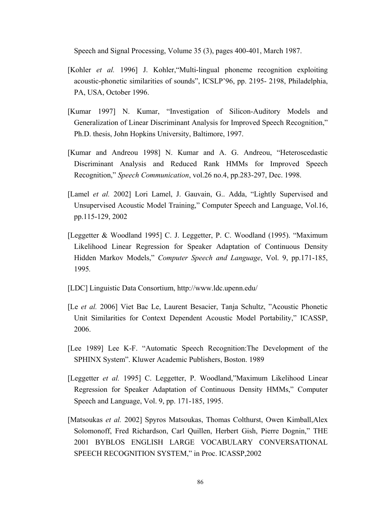Speech and Signal Processing, Volume 35 (3), pages 400-401, March 1987.

- [Kohler *et al.* 1996] J. Kohler,"Multi-lingual phoneme recognition exploiting acoustic-phonetic similarities of sounds", ICSLP'96, pp. 2195- 2198, Philadelphia, PA, USA, October 1996.
- [Kumar 1997] N. Kumar, "Investigation of Silicon-Auditory Models and Generalization of Linear Discriminant Analysis for Improved Speech Recognition," Ph.D. thesis, John Hopkins University, Baltimore, 1997.
- [Kumar and Andreou 1998] N. Kumar and A. G. Andreou, "Heteroscedastic Discriminant Analysis and Reduced Rank HMMs for Improved Speech Recognition," *Speech Communication*, vol.26 no.4, pp.283-297, Dec. 1998.
- [Lamel *et al.* 2002] Lori Lamel, J. Gauvain, G.. Adda, "Lightly Supervised and Unsupervised Acoustic Model Training," Computer Speech and Language, Vol.16, pp.115-129, 2002
- [Leggetter & Woodland 1995] C. J. Leggetter, P. C. Woodland (1995). "Maximum Likelihood Linear Regression for Speaker Adaptation of Continuous Density Hidden Markov Models," *Computer Speech and Language*, Vol. 9, pp.171-185, 1995*.*
- [LDC] Linguistic Data Consortium, http://www.ldc.upenn.edu/
- [Le *et al.* 2006] Viet Bac Le, Laurent Besacier, Tanja Schultz, "Acoustic Phonetic Unit Similarities for Context Dependent Acoustic Model Portability," ICASSP, 2006.
- [Lee 1989] Lee K-F. "Automatic Speech Recognition:The Development of the SPHINX System". Kluwer Academic Publishers, Boston. 1989
- [Leggetter *et al.* 1995] C. Leggetter, P. Woodland,"Maximum Likelihood Linear Regression for Speaker Adaptation of Continuous Density HMMs," Computer Speech and Language, Vol. 9, pp. 171-185, 1995.
- [Matsoukas *et al.* 2002] Spyros Matsoukas, Thomas Colthurst, Owen Kimball,Alex Solomonoff, Fred Richardson, Carl Quillen, Herbert Gish, Pierre Dognin," THE 2001 BYBLOS ENGLISH LARGE VOCABULARY CONVERSATIONAL SPEECH RECOGNITION SYSTEM," in Proc. ICASSP,2002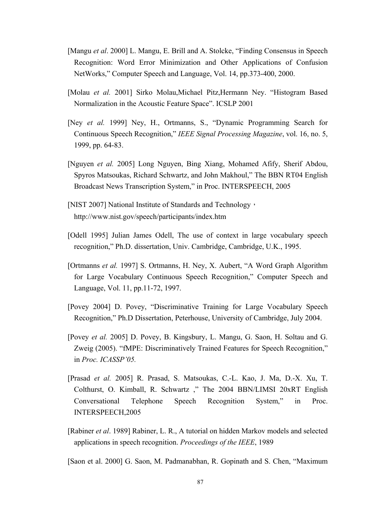- [Mangu *et al*. 2000] L. Mangu, E. Brill and A. Stolcke, "Finding Consensus in Speech Recognition: Word Error Minimization and Other Applications of Confusion NetWorks," Computer Speech and Language, Vol. 14, pp.373-400, 2000.
- [Molau *et al.* 2001] Sirko Molau, Michael Pitz, Hermann Ney. "Histogram Based Normalization in the Acoustic Feature Space". ICSLP 2001
- [Ney *et al.* 1999] Ney, H., Ortmanns, S., "Dynamic Programming Search for Continuous Speech Recognition," *IEEE Signal Processing Magazine*, vol. 16, no. 5, 1999, pp. 64-83.
- [Nguyen *et al.* 2005] Long Nguyen, Bing Xiang, Mohamed Afify, Sherif Abdou, Spyros Matsoukas, Richard Schwartz, and John Makhoul," The BBN RT04 English Broadcast News Transcription System," in Proc. INTERSPEECH, 2005
- [NIST 2007] National Institute of Standards and Technology, http://www.nist.gov/speech/participants/index.htm
- [Odell 1995] Julian James Odell, The use of context in large vocabulary speech recognition," Ph.D. dissertation, Univ. Cambridge, Cambridge, U.K., 1995.
- [Ortmanns *et al.* 1997] S. Ortmanns, H. Ney, X. Aubert, "A Word Graph Algorithm for Large Vocabulary Continuous Speech Recognition," Computer Speech and Language, Vol. 11, pp.11-72, 1997.
- [Povey 2004] D. Povey, "Discriminative Training for Large Vocabulary Speech Recognition," Ph.D Dissertation, Peterhouse, University of Cambridge, July 2004.
- [Povey *et al.* 2005] D. Povey, B. Kingsbury, L. Mangu, G. Saon, H. Soltau and G. Zweig (2005). "fMPE: Discriminatively Trained Features for Speech Recognition," in *Proc. ICASSP'05.*
- [Prasad *et al.* 2005] R. Prasad, S. Matsoukas, C.-L. Kao, J. Ma, D.-X. Xu, T. Colthurst, O. Kimball, R. Schwartz ," The 2004 BBN/LIMSI 20xRT English Conversational Telephone Speech Recognition System," in Proc. INTERSPEECH,2005
- [Rabiner *et al*. 1989] Rabiner, L. R., A tutorial on hidden Markov models and selected applications in speech recognition. *Proceedings of the IEEE*, 1989

[Saon et al. 2000] G. Saon, M. Padmanabhan, R. Gopinath and S. Chen, "Maximum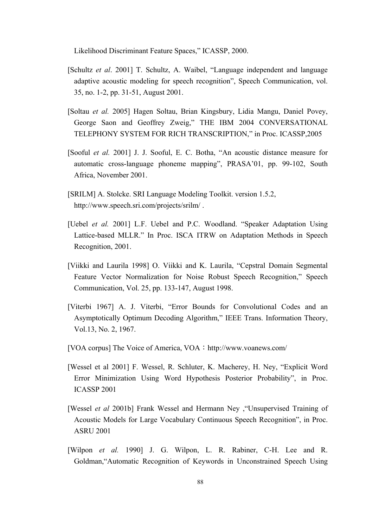Likelihood Discriminant Feature Spaces," ICASSP, 2000.

- [Schultz *et al*. 2001] T. Schultz, A. Waibel, "Language independent and language adaptive acoustic modeling for speech recognition", Speech Communication, vol. 35, no. 1-2, pp. 31-51, August 2001.
- [Soltau *et al.* 2005] Hagen Soltau, Brian Kingsbury, Lidia Mangu, Daniel Povey, George Saon and Geoffrey Zweig," THE IBM 2004 CONVERSATIONAL TELEPHONY SYSTEM FOR RICH TRANSCRIPTION," in Proc. ICASSP,2005
- [Sooful *et al.* 2001] J. J. Sooful, E. C. Botha, "An acoustic distance measure for automatic cross-language phoneme mapping", PRASA'01, pp. 99-102, South Africa, November 2001.
- [SRILM] A. Stolcke. SRI Language Modeling Toolkit. version 1.5.2, http://www.speech.sri.com/projects/srilm/ .
- [Uebel *et al.* 2001] L.F. Uebel and P.C. Woodland. "Speaker Adaptation Using Lattice-based MLLR." In Proc. ISCA ITRW on Adaptation Methods in Speech Recognition, 2001.
- [Viikki and Laurila 1998] O. Viikki and K. Laurila, "Cepstral Domain Segmental Feature Vector Normalization for Noise Robust Speech Recognition," Speech Communication, Vol. 25, pp. 133-147, August 1998.
- [Viterbi 1967] A. J. Viterbi, "Error Bounds for Convolutional Codes and an Asymptotically Optimum Decoding Algorithm," IEEE Trans. Information Theory, Vol.13, No. 2, 1967.
- [VOA corpus] The Voice of America, VOA: http://www.voanews.com/
- [Wessel et al 2001] F. Wessel, R. Schluter, K. Macherey, H. Ney, "Explicit Word Error Minimization Using Word Hypothesis Posterior Probability", in Proc. ICASSP 2001
- [Wessel *et al* 2001b] Frank Wessel and Hermann Ney ,"Unsupervised Training of Acoustic Models for Large Vocabulary Continuous Speech Recognition", in Proc. ASRU 2001
- [Wilpon *et al.* 1990] J. G. Wilpon, L. R. Rabiner, C-H. Lee and R. Goldman,"Automatic Recognition of Keywords in Unconstrained Speech Using